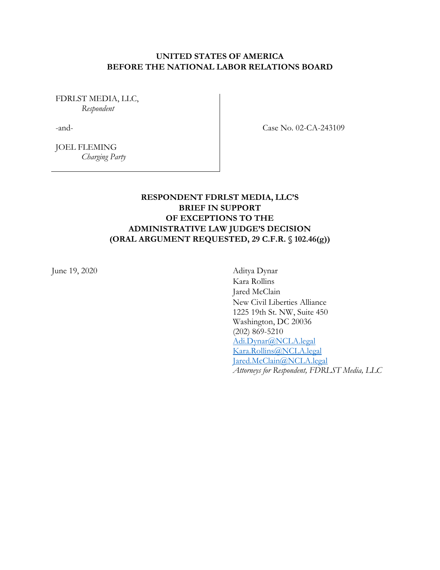## **UNITED STATES OF AMERICA BEFORE THE NATIONAL LABOR RELATIONS BOARD**

FDRLST MEDIA, LLC, *Respondent*

-and-

Case No. 02-CA-243109

JOEL FLEMING *Charging Party*

# **RESPONDENT FDRLST MEDIA, LLC'S BRIEF IN SUPPORT OF EXCEPTIONS TO THE ADMINISTRATIVE LAW JUDGE'S DECISION (ORAL ARGUMENT REQUESTED, 29 C.F.R. § 102.46(g))**

June 19, 2020 Aditya Dynar

Kara Rollins Jared McClain New Civil Liberties Alliance 1225 19th St. NW, Suite 450 Washington, DC 20036 (202) 869-5210 Adi.Dynar@NCLA.legal Kara.Rollins@NCLA.legal Jared.McClain@NCLA.legal *Attorneys for Respondent, FDRLST Media, LLC*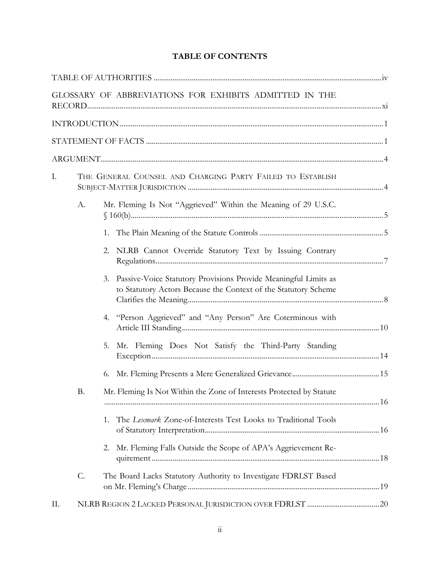# **TABLE OF CONTENTS**

|    |                 | GLOSSARY OF ABBREVIATIONS FOR EXHIBITS ADMITTED IN THE                                                                                   |  |
|----|-----------------|------------------------------------------------------------------------------------------------------------------------------------------|--|
|    |                 |                                                                                                                                          |  |
|    |                 |                                                                                                                                          |  |
|    |                 |                                                                                                                                          |  |
| Ι. |                 | THE GENERAL COUNSEL AND CHARGING PARTY FAILED TO ESTABLISH                                                                               |  |
|    | А.              | Mr. Fleming Is Not "Aggrieved" Within the Meaning of 29 U.S.C.                                                                           |  |
|    |                 | 1.                                                                                                                                       |  |
|    |                 | NLRB Cannot Override Statutory Text by Issuing Contrary<br>2.                                                                            |  |
|    |                 | Passive-Voice Statutory Provisions Provide Meaningful Limits as<br>3.<br>to Statutory Actors Because the Context of the Statutory Scheme |  |
|    |                 | "Person Aggrieved" and "Any Person" Are Coterminous with<br>4.                                                                           |  |
|    |                 | Mr. Fleming Does Not Satisfy the Third-Party Standing<br>5.                                                                              |  |
|    |                 | 6.                                                                                                                                       |  |
|    | <b>B.</b>       | Mr. Fleming Is Not Within the Zone of Interests Protected by Statute                                                                     |  |
|    |                 | The Lexmark Zone-of-Interests Test Looks to Traditional Tools<br>1.                                                                      |  |
|    |                 | Mr. Fleming Falls Outside the Scope of APA's Aggrievement Re-<br>2.                                                                      |  |
|    | $\mathcal{C}$ . | The Board Lacks Statutory Authority to Investigate FDRLST Based                                                                          |  |
| Π. |                 |                                                                                                                                          |  |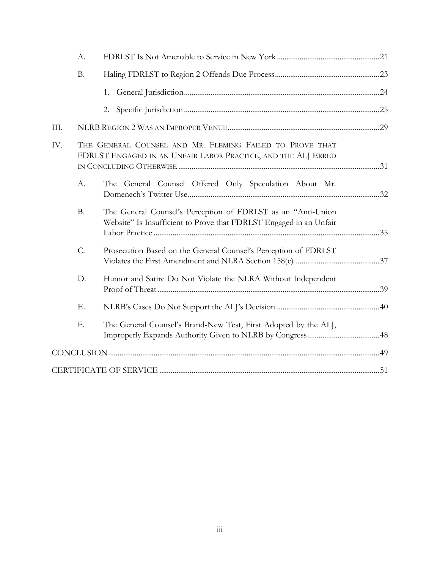|      | A.               |                                                                                                                                    |  |
|------|------------------|------------------------------------------------------------------------------------------------------------------------------------|--|
|      | <b>B.</b>        |                                                                                                                                    |  |
|      |                  | 1.                                                                                                                                 |  |
|      |                  | 2.                                                                                                                                 |  |
| III. |                  |                                                                                                                                    |  |
| IV.  |                  | THE GENERAL COUNSEL AND MR. FLEMING FAILED TO PROVE THAT<br>FDRLST ENGAGED IN AN UNFAIR LABOR PRACTICE, AND THE ALJ ERRED          |  |
|      | A.               | The General Counsel Offered Only Speculation About Mr.                                                                             |  |
|      | <b>B.</b>        | The General Counsel's Perception of FDRLST as an "Anti-Union<br>Website" Is Insufficient to Prove that FDRLST Engaged in an Unfair |  |
|      | $\overline{C}$ . | Prosecution Based on the General Counsel's Perception of FDRLST                                                                    |  |
|      | D.               | Humor and Satire Do Not Violate the NLRA Without Independent                                                                       |  |
|      | Ε.               |                                                                                                                                    |  |
|      | F.               | The General Counsel's Brand-New Test, First Adopted by the ALJ,                                                                    |  |
|      |                  |                                                                                                                                    |  |
|      |                  |                                                                                                                                    |  |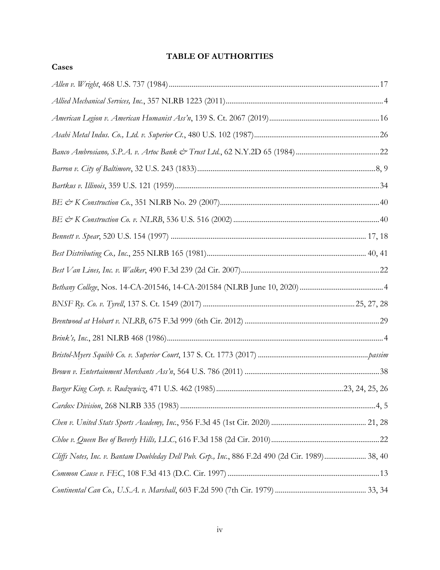# **TABLE OF AUTHORITIES**

**Cases**

| Cliffs Notes, Inc. v. Bantam Doubleday Dell Pub. Grp., Inc., 886 F.2d 490 (2d Cir. 1989) 38, 40 |  |
|-------------------------------------------------------------------------------------------------|--|
|                                                                                                 |  |
|                                                                                                 |  |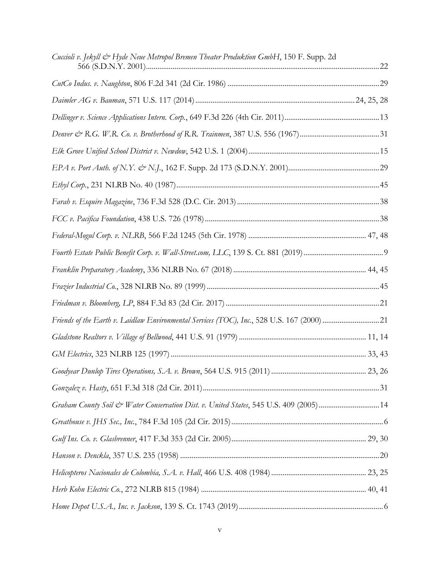| Cuccioli v. Jekyll & Hyde Neue Metropol Bremen Theater Produktion GmbH, 150 F. Supp. 2d    |  |
|--------------------------------------------------------------------------------------------|--|
|                                                                                            |  |
|                                                                                            |  |
|                                                                                            |  |
|                                                                                            |  |
|                                                                                            |  |
|                                                                                            |  |
|                                                                                            |  |
|                                                                                            |  |
|                                                                                            |  |
|                                                                                            |  |
|                                                                                            |  |
|                                                                                            |  |
|                                                                                            |  |
|                                                                                            |  |
| Friends of the Earth v. Laidlaw Environmental Services (TOC), Inc., 528 U.S. 167 (2000) 21 |  |
|                                                                                            |  |
|                                                                                            |  |
|                                                                                            |  |
|                                                                                            |  |
| Graham County Soil & Water Conservation Dist. v. United States, 545 U.S. 409 (2005)14      |  |
|                                                                                            |  |
|                                                                                            |  |
|                                                                                            |  |
|                                                                                            |  |
|                                                                                            |  |
|                                                                                            |  |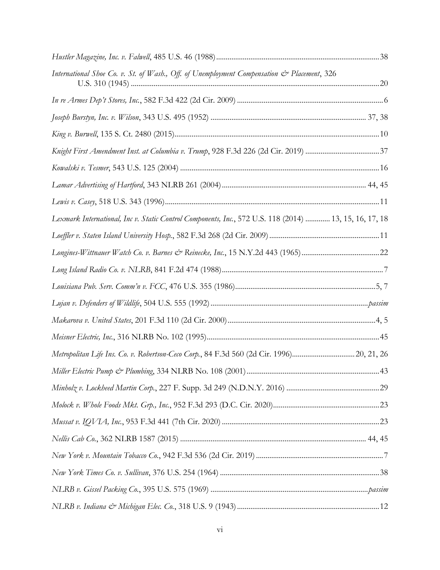| International Shoe Co. v. St. of Wash., Off. of Unemployment Compensation & Placement, 326             |  |
|--------------------------------------------------------------------------------------------------------|--|
|                                                                                                        |  |
|                                                                                                        |  |
|                                                                                                        |  |
| Knight First Amendment Inst. at Columbia v. Trump, 928 F.3d 226 (2d Cir. 2019) 37                      |  |
|                                                                                                        |  |
|                                                                                                        |  |
|                                                                                                        |  |
| Lexmark International, Inc v. Static Control Components, Inc., 572 U.S. 118 (2014)  13, 15, 16, 17, 18 |  |
|                                                                                                        |  |
| Longines-Wittnauer Watch Co. v. Barnes & Reinecke, Inc., 15 N.Y.2d 443 (1965)22                        |  |
|                                                                                                        |  |
|                                                                                                        |  |
|                                                                                                        |  |
|                                                                                                        |  |
|                                                                                                        |  |
| Metropolitan Life Ins. Co. v. Robertson-Ceco Corp., 84 F.3d 560 (2d Cir. 1996)20, 21, 26               |  |
|                                                                                                        |  |
|                                                                                                        |  |
|                                                                                                        |  |
|                                                                                                        |  |
|                                                                                                        |  |
|                                                                                                        |  |
|                                                                                                        |  |
|                                                                                                        |  |
|                                                                                                        |  |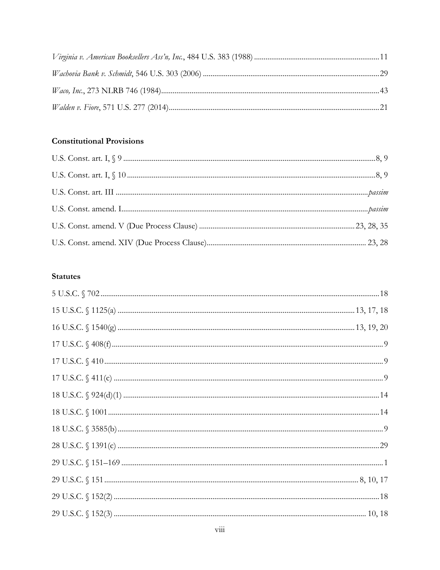# **Constitutional Provisions**

# **Statutes**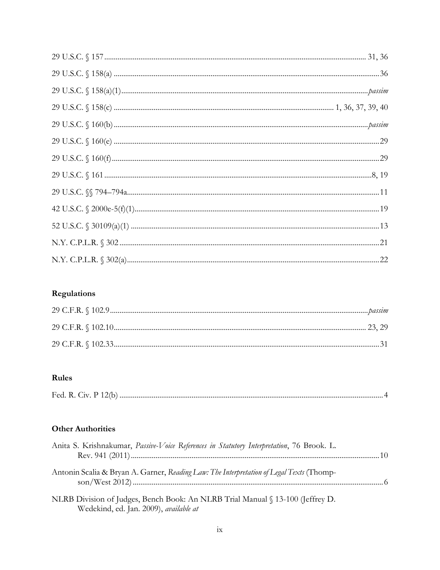# Regulations

# Rules

| Fed. R<br>$\bigcup$ iv. P<br>$\mathbf{u}$ |  |
|-------------------------------------------|--|
|-------------------------------------------|--|

# **Other Authorities**

| Anita S. Krishnakumar, Passive-Voice References in Statutory Interpretation, 76 Brook. L. |  |
|-------------------------------------------------------------------------------------------|--|
|                                                                                           |  |
| Antonin Scalia & Bryan A. Garner, Reading Law: The Interpretation of Legal Texts (Thomp-  |  |
| NLRB Division of Judges, Bench Book: An NLRB Trial Manual § 13-100 (Jeffrey D.            |  |

Wedekind, ed. Jan. 2009), *available at*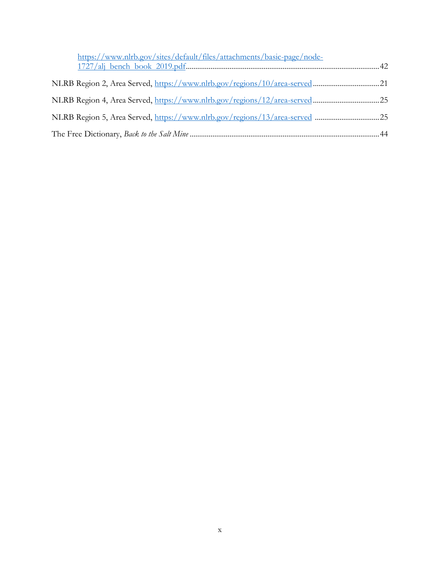| https://www.nlrb.gov/sites/default/files/attachments/basic-page/node- |  |
|-----------------------------------------------------------------------|--|
|                                                                       |  |
|                                                                       |  |
|                                                                       |  |
|                                                                       |  |
|                                                                       |  |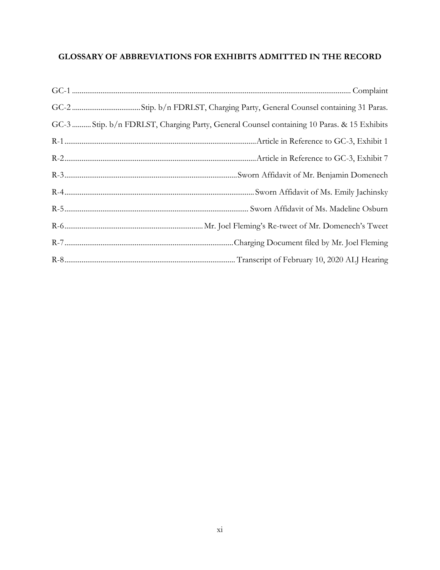# **GLOSSARY OF ABBREVIATIONS FOR EXHIBITS ADMITTED IN THE RECORD**

| GC-3  Stip. b/n FDRLST, Charging Party, General Counsel containing 10 Paras. & 15 Exhibits |
|--------------------------------------------------------------------------------------------|
|                                                                                            |
|                                                                                            |
|                                                                                            |
|                                                                                            |
|                                                                                            |
|                                                                                            |
|                                                                                            |
|                                                                                            |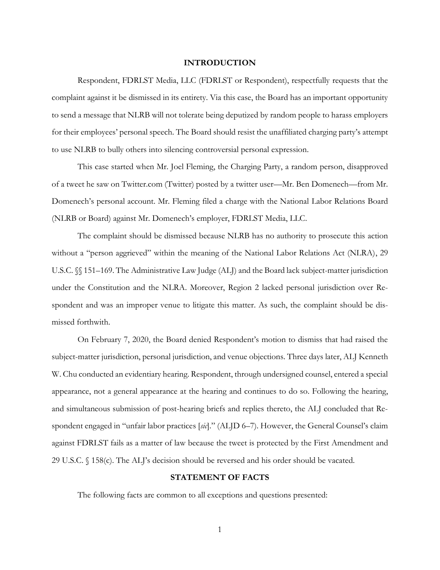#### **INTRODUCTION**

Respondent, FDRLST Media, LLC (FDRLST or Respondent), respectfully requests that the complaint against it be dismissed in its entirety. Via this case, the Board has an important opportunity to send a message that NLRB will not tolerate being deputized by random people to harass employers for their employees' personal speech. The Board should resist the unaffiliated charging party's attempt to use NLRB to bully others into silencing controversial personal expression.

This case started when Mr. Joel Fleming, the Charging Party, a random person, disapproved of a tweet he saw on Twitter.com (Twitter) posted by a twitter user—Mr. Ben Domenech—from Mr. Domenech's personal account. Mr. Fleming filed a charge with the National Labor Relations Board (NLRB or Board) against Mr. Domenech's employer, FDRLST Media, LLC.

The complaint should be dismissed because NLRB has no authority to prosecute this action without a "person aggrieved" within the meaning of the National Labor Relations Act (NLRA), 29 U.S.C. §§ 151–169. The Administrative Law Judge (ALJ) and the Board lack subject-matter jurisdiction under the Constitution and the NLRA. Moreover, Region 2 lacked personal jurisdiction over Respondent and was an improper venue to litigate this matter. As such, the complaint should be dismissed forthwith.

On February 7, 2020, the Board denied Respondent's motion to dismiss that had raised the subject-matter jurisdiction, personal jurisdiction, and venue objections. Three days later, ALJ Kenneth W. Chu conducted an evidentiary hearing. Respondent, through undersigned counsel, entered a special appearance, not a general appearance at the hearing and continues to do so. Following the hearing, and simultaneous submission of post-hearing briefs and replies thereto, the ALJ concluded that Respondent engaged in "unfair labor practices [*sic*]." (ALJD 6–7). However, the General Counsel's claim against FDRLST fails as a matter of law because the tweet is protected by the First Amendment and 29 U.S.C. § 158(c). The ALJ's decision should be reversed and his order should be vacated.

#### **STATEMENT OF FACTS**

The following facts are common to all exceptions and questions presented: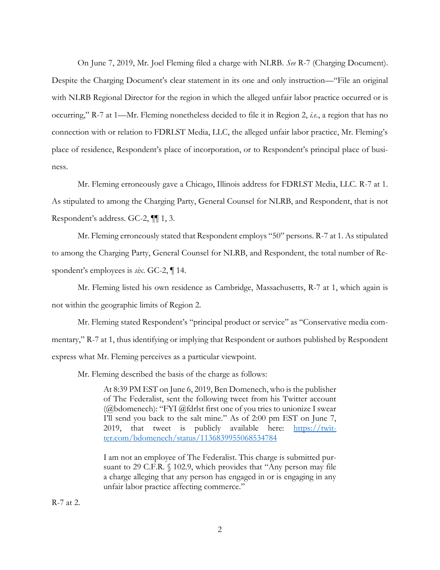On June 7, 2019, Mr. Joel Fleming filed a charge with NLRB. *See* R-7 (Charging Document). Despite the Charging Document's clear statement in its one and only instruction—"File an original with NLRB Regional Director for the region in which the alleged unfair labor practice occurred or is occurring," R-7 at 1—Mr. Fleming nonetheless decided to file it in Region 2, *i.e.*, a region that has no connection with or relation to FDRLST Media, LLC, the alleged unfair labor practice, Mr. Fleming's place of residence, Respondent's place of incorporation, or to Respondent's principal place of business.

Mr. Fleming erroneously gave a Chicago, Illinois address for FDRLST Media, LLC. R-7 at 1. As stipulated to among the Charging Party, General Counsel for NLRB, and Respondent, that is not Respondent's address. GC-2, ¶¶ 1, 3.

Mr. Fleming erroneously stated that Respondent employs "50" persons. R-7 at 1. As stipulated to among the Charging Party, General Counsel for NLRB, and Respondent, the total number of Respondent's employees is *six*. GC-2, ¶ 14.

Mr. Fleming listed his own residence as Cambridge, Massachusetts, R-7 at 1, which again is not within the geographic limits of Region 2.

Mr. Fleming stated Respondent's "principal product or service" as "Conservative media commentary," R-7 at 1, thus identifying or implying that Respondent or authors published by Respondent express what Mr. Fleming perceives as a particular viewpoint.

Mr. Fleming described the basis of the charge as follows:

At 8:39 PM EST on June 6, 2019, Ben Domenech, who is the publisher of The Federalist, sent the following tweet from his Twitter account (@bdomenech): "FYI @fdrlst first one of you tries to unionize I swear I'll send you back to the salt mine." As of 2:00 pm EST on June 7, 2019, that tweet is publicly available here:  $\frac{https://twit-1/2019}{https://twit-1/2019}$ ter.com/bdomenech/status/1136839955068534784

I am not an employee of The Federalist. This charge is submitted pursuant to 29 C.F.R. § 102.9, which provides that "Any person may file a charge alleging that any person has engaged in or is engaging in any unfair labor practice affecting commerce."

R-7 at 2.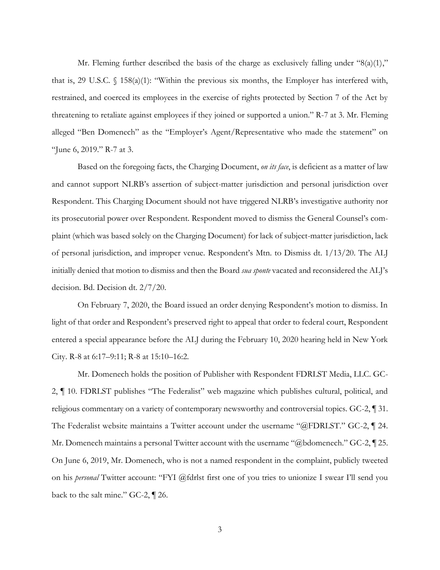Mr. Fleming further described the basis of the charge as exclusively falling under " $8(a)(1)$ ," that is, 29 U.S.C. § 158(a)(1): "Within the previous six months, the Employer has interfered with, restrained, and coerced its employees in the exercise of rights protected by Section 7 of the Act by threatening to retaliate against employees if they joined or supported a union." R-7 at 3. Mr. Fleming alleged "Ben Domenech" as the "Employer's Agent/Representative who made the statement" on "June 6, 2019." R-7 at 3.

Based on the foregoing facts, the Charging Document, *on its face*, is deficient as a matter of law and cannot support NLRB's assertion of subject-matter jurisdiction and personal jurisdiction over Respondent. This Charging Document should not have triggered NLRB's investigative authority nor its prosecutorial power over Respondent. Respondent moved to dismiss the General Counsel's complaint (which was based solely on the Charging Document) for lack of subject-matter jurisdiction, lack of personal jurisdiction, and improper venue. Respondent's Mtn. to Dismiss dt. 1/13/20. The ALJ initially denied that motion to dismiss and then the Board *sua sponte* vacated and reconsidered the ALJ's decision. Bd. Decision dt. 2/7/20.

On February 7, 2020, the Board issued an order denying Respondent's motion to dismiss. In light of that order and Respondent's preserved right to appeal that order to federal court, Respondent entered a special appearance before the ALJ during the February 10, 2020 hearing held in New York City. R-8 at 6:17–9:11; R-8 at 15:10–16:2.

Mr. Domenech holds the position of Publisher with Respondent FDRLST Media, LLC. GC-2, ¶ 10. FDRLST publishes "The Federalist" web magazine which publishes cultural, political, and religious commentary on a variety of contemporary newsworthy and controversial topics. GC-2, ¶ 31. The Federalist website maintains a Twitter account under the username "@FDRLST." GC-2, ¶ 24. Mr. Domenech maintains a personal Twitter account with the username "@bdomenech." GC-2, [25.] On June 6, 2019, Mr. Domenech, who is not a named respondent in the complaint, publicly tweeted on his *personal* Twitter account: "FYI @fdrlst first one of you tries to unionize I swear I'll send you back to the salt mine." GC-2, ¶ 26.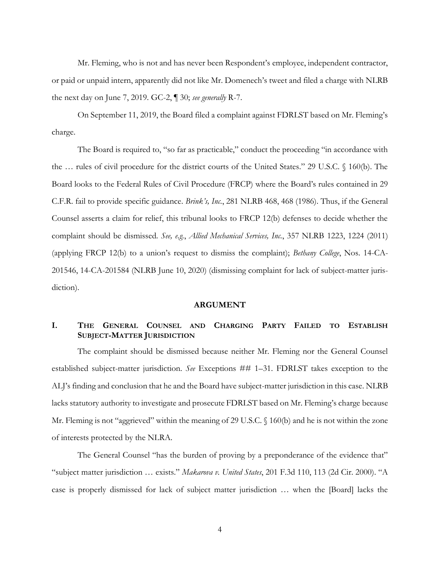Mr. Fleming, who is not and has never been Respondent's employee, independent contractor, or paid or unpaid intern, apparently did not like Mr. Domenech's tweet and filed a charge with NLRB the next day on June 7, 2019. GC-2, ¶ 30; *see generally* R-7.

On September 11, 2019, the Board filed a complaint against FDRLST based on Mr. Fleming's charge.

The Board is required to, "so far as practicable," conduct the proceeding "in accordance with the … rules of civil procedure for the district courts of the United States." 29 U.S.C. § 160(b). The Board looks to the Federal Rules of Civil Procedure (FRCP) where the Board's rules contained in 29 C.F.R. fail to provide specific guidance. *Brink's, Inc.*, 281 NLRB 468, 468 (1986). Thus, if the General Counsel asserts a claim for relief, this tribunal looks to FRCP 12(b) defenses to decide whether the complaint should be dismissed. *See, e.g.*, *Allied Mechanical Services, Inc.*, 357 NLRB 1223, 1224 (2011) (applying FRCP 12(b) to a union's request to dismiss the complaint); *Bethany College*, Nos. 14-CA-201546, 14-CA-201584 (NLRB June 10, 2020) (dismissing complaint for lack of subject-matter jurisdiction).

### **ARGUMENT**

## **I. THE GENERAL COUNSEL AND CHARGING PARTY FAILED TO ESTABLISH SUBJECT-MATTER JURISDICTION**

The complaint should be dismissed because neither Mr. Fleming nor the General Counsel established subject-matter jurisdiction. *See* Exceptions ## 1–31. FDRLST takes exception to the ALJ's finding and conclusion that he and the Board have subject-matter jurisdiction in this case. NLRB lacks statutory authority to investigate and prosecute FDRLST based on Mr. Fleming's charge because Mr. Fleming is not "aggrieved" within the meaning of 29 U.S.C. § 160(b) and he is not within the zone of interests protected by the NLRA.

The General Counsel "has the burden of proving by a preponderance of the evidence that" "subject matter jurisdiction … exists." *Makarova v. United States*, 201 F.3d 110, 113 (2d Cir. 2000). "A case is properly dismissed for lack of subject matter jurisdiction … when the [Board] lacks the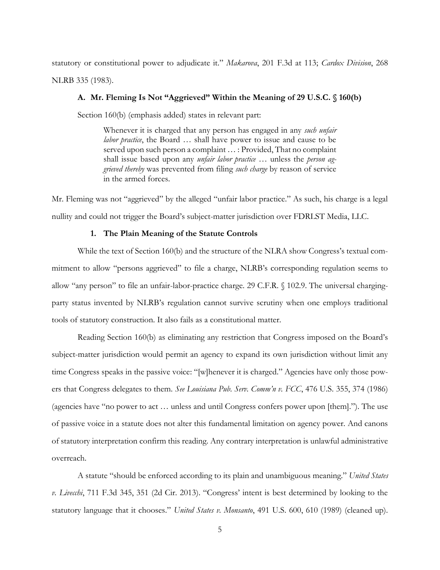statutory or constitutional power to adjudicate it." *Makarova*, 201 F.3d at 113; *Cardox Division*, 268 NLRB 335 (1983).

#### **A. Mr. Fleming Is Not "Aggrieved" Within the Meaning of 29 U.S.C. § 160(b)**

Section 160(b) (emphasis added) states in relevant part:

Whenever it is charged that any person has engaged in any *such unfair labor practice*, the Board … shall have power to issue and cause to be served upon such person a complaint ... : Provided, That no complaint shall issue based upon any *unfair labor practice* … unless the *person aggrieved thereby* was prevented from filing *such charge* by reason of service in the armed forces.

Mr. Fleming was not "aggrieved" by the alleged "unfair labor practice." As such, his charge is a legal nullity and could not trigger the Board's subject-matter jurisdiction over FDRLST Media, LLC.

#### **1. The Plain Meaning of the Statute Controls**

While the text of Section 160(b) and the structure of the NLRA show Congress's textual commitment to allow "persons aggrieved" to file a charge, NLRB's corresponding regulation seems to allow "any person" to file an unfair-labor-practice charge. 29 C.F.R. § 102.9. The universal chargingparty status invented by NLRB's regulation cannot survive scrutiny when one employs traditional tools of statutory construction. It also fails as a constitutional matter.

Reading Section 160(b) as eliminating any restriction that Congress imposed on the Board's subject-matter jurisdiction would permit an agency to expand its own jurisdiction without limit any time Congress speaks in the passive voice: "[w]henever it is charged." Agencies have only those powers that Congress delegates to them. *See Louisiana Pub. Serv. Comm'n v. FCC*, 476 U.S. 355, 374 (1986) (agencies have "no power to act … unless and until Congress confers power upon [them].")*.* The use of passive voice in a statute does not alter this fundamental limitation on agency power. And canons of statutory interpretation confirm this reading. Any contrary interpretation is unlawful administrative overreach.

A statute "should be enforced according to its plain and unambiguous meaning." *United States v. Livecchi*, 711 F.3d 345, 351 (2d Cir. 2013). "Congress' intent is best determined by looking to the statutory language that it chooses." *United States v. Monsanto*, 491 U.S. 600, 610 (1989) (cleaned up).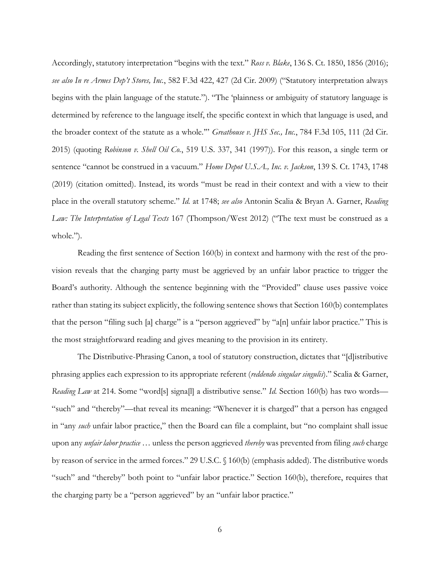Accordingly, statutory interpretation "begins with the text." *Ross v. Blake*, 136 S. Ct. 1850, 1856 (2016); *see also In re Armes Dep't Stores, Inc.*, 582 F.3d 422, 427 (2d Cir. 2009) ("Statutory interpretation always begins with the plain language of the statute."). "The 'plainness or ambiguity of statutory language is determined by reference to the language itself, the specific context in which that language is used, and the broader context of the statute as a whole.'" *Greathouse v. JHS Sec., Inc.*, 784 F.3d 105, 111 (2d Cir. 2015) (quoting *Robinson v. Shell Oil Co.*, 519 U.S. 337, 341 (1997)). For this reason, a single term or sentence "cannot be construed in a vacuum." *Home Depot U.S.A., Inc. v. Jackson*, 139 S. Ct. 1743, 1748 (2019) (citation omitted). Instead, its words "must be read in their context and with a view to their place in the overall statutory scheme." *Id.* at 1748; *see also* Antonin Scalia & Bryan A. Garner, *Reading Law: The Interpretation of Legal Texts* 167 (Thompson/West 2012) ("The text must be construed as a whole.").

Reading the first sentence of Section 160(b) in context and harmony with the rest of the provision reveals that the charging party must be aggrieved by an unfair labor practice to trigger the Board's authority. Although the sentence beginning with the "Provided" clause uses passive voice rather than stating its subject explicitly, the following sentence shows that Section 160(b) contemplates that the person "filing such [a] charge" is a "person aggrieved" by "a[n] unfair labor practice." This is the most straightforward reading and gives meaning to the provision in its entirety.

The Distributive-Phrasing Canon, a tool of statutory construction, dictates that "[d]istributive phrasing applies each expression to its appropriate referent (*reddendo singular singulis*)." Scalia & Garner, *Reading Law* at 214. Some "word[s] signa[l] a distributive sense." *Id.* Section 160(b) has two words— "such" and "thereby"—that reveal its meaning: "Whenever it is charged" that a person has engaged in "any *such* unfair labor practice," then the Board can file a complaint, but "no complaint shall issue upon any *unfair labor practice* … unless the person aggrieved *thereby* was prevented from filing *such* charge by reason of service in the armed forces." 29 U.S.C. § 160(b) (emphasis added). The distributive words "such" and "thereby" both point to "unfair labor practice." Section 160(b), therefore, requires that the charging party be a "person aggrieved" by an "unfair labor practice."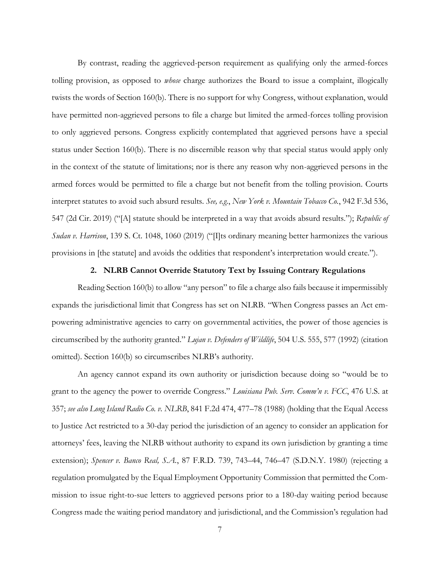By contrast, reading the aggrieved-person requirement as qualifying only the armed-forces tolling provision, as opposed to *whose* charge authorizes the Board to issue a complaint, illogically twists the words of Section 160(b). There is no support for why Congress, without explanation, would have permitted non-aggrieved persons to file a charge but limited the armed-forces tolling provision to only aggrieved persons. Congress explicitly contemplated that aggrieved persons have a special status under Section 160(b). There is no discernible reason why that special status would apply only in the context of the statute of limitations; nor is there any reason why non-aggrieved persons in the armed forces would be permitted to file a charge but not benefit from the tolling provision. Courts interpret statutes to avoid such absurd results. *See, e.g.*, *New York v. Mountain Tobacco Co.*, 942 F.3d 536, 547 (2d Cir. 2019) ("[A] statute should be interpreted in a way that avoids absurd results."); *Republic of Sudan v. Harrison*, 139 S. Ct. 1048, 1060 (2019) ("[I]ts ordinary meaning better harmonizes the various provisions in [the statute] and avoids the oddities that respondent's interpretation would create.").

#### **2. NLRB Cannot Override Statutory Text by Issuing Contrary Regulations**

Reading Section 160(b) to allow "any person" to file a charge also fails because it impermissibly expands the jurisdictional limit that Congress has set on NLRB. "When Congress passes an Act empowering administrative agencies to carry on governmental activities, the power of those agencies is circumscribed by the authority granted." *Lujan v. Defenders of Wildlife*, 504 U.S. 555, 577 (1992) (citation omitted). Section 160(b) so circumscribes NLRB's authority.

An agency cannot expand its own authority or jurisdiction because doing so "would be to grant to the agency the power to override Congress." *Louisiana Pub. Serv. Comm'n v. FCC*, 476 U.S. at 357; *see also Long Island Radio Co. v. NLRB*, 841 F.2d 474, 477–78 (1988) (holding that the Equal Access to Justice Act restricted to a 30-day period the jurisdiction of an agency to consider an application for attorneys' fees, leaving the NLRB without authority to expand its own jurisdiction by granting a time extension); *Spencer v. Banco Real, S.A.*, 87 F.R.D. 739, 743–44, 746–47 (S.D.N.Y. 1980) (rejecting a regulation promulgated by the Equal Employment Opportunity Commission that permitted the Commission to issue right-to-sue letters to aggrieved persons prior to a 180-day waiting period because Congress made the waiting period mandatory and jurisdictional, and the Commission's regulation had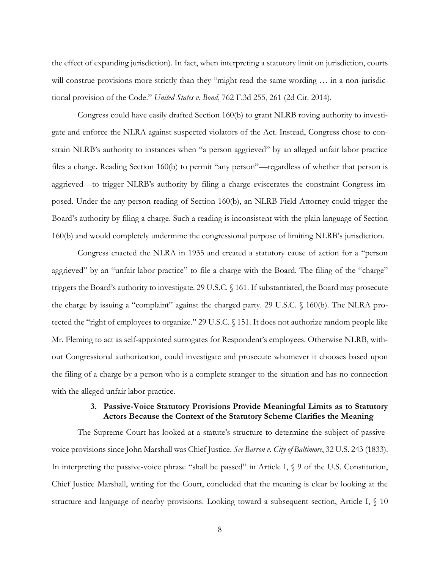the effect of expanding jurisdiction). In fact, when interpreting a statutory limit on jurisdiction, courts will construe provisions more strictly than they "might read the same wording ... in a non-jurisdictional provision of the Code." *United States v. Bond*, 762 F.3d 255, 261 (2d Cir. 2014).

Congress could have easily drafted Section 160(b) to grant NLRB roving authority to investigate and enforce the NLRA against suspected violators of the Act. Instead, Congress chose to constrain NLRB's authority to instances when "a person aggrieved" by an alleged unfair labor practice files a charge. Reading Section 160(b) to permit "any person"—regardless of whether that person is aggrieved—to trigger NLRB's authority by filing a charge eviscerates the constraint Congress imposed. Under the any-person reading of Section 160(b), an NLRB Field Attorney could trigger the Board's authority by filing a charge. Such a reading is inconsistent with the plain language of Section 160(b) and would completely undermine the congressional purpose of limiting NLRB's jurisdiction.

Congress enacted the NLRA in 1935 and created a statutory cause of action for a "person aggrieved" by an "unfair labor practice" to file a charge with the Board. The filing of the "charge" triggers the Board's authority to investigate. 29 U.S.C. § 161. If substantiated, the Board may prosecute the charge by issuing a "complaint" against the charged party. 29 U.S.C. § 160(b). The NLRA protected the "right of employees to organize." 29 U.S.C. § 151. It does not authorize random people like Mr. Fleming to act as self-appointed surrogates for Respondent's employees. Otherwise NLRB, without Congressional authorization, could investigate and prosecute whomever it chooses based upon the filing of a charge by a person who is a complete stranger to the situation and has no connection with the alleged unfair labor practice.

### **3. Passive-Voice Statutory Provisions Provide Meaningful Limits as to Statutory Actors Because the Context of the Statutory Scheme Clarifies the Meaning**

The Supreme Court has looked at a statute's structure to determine the subject of passivevoice provisions since John Marshall was Chief Justice. *See Barron v. City of Baltimore*, 32 U.S. 243 (1833). In interpreting the passive-voice phrase "shall be passed" in Article I,  $\Diamond$  9 of the U.S. Constitution, Chief Justice Marshall, writing for the Court, concluded that the meaning is clear by looking at the structure and language of nearby provisions. Looking toward a subsequent section, Article I, § 10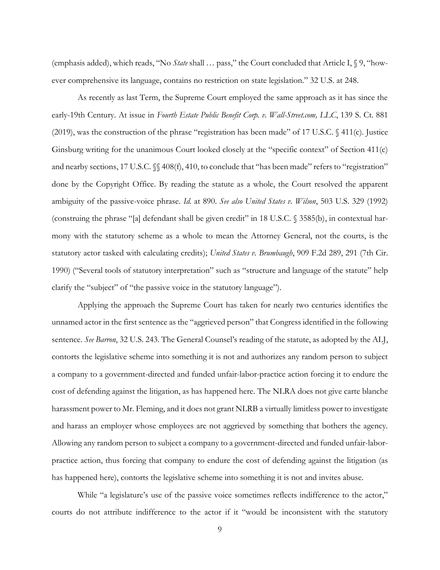(emphasis added), which reads, "No *State* shall … pass," the Court concluded that Article I, § 9, "however comprehensive its language, contains no restriction on state legislation." 32 U.S. at 248.

As recently as last Term, the Supreme Court employed the same approach as it has since the early-19th Century. At issue in *Fourth Estate Public Benefit Corp. v. Wall-Street.com, LLC*, 139 S. Ct. 881 (2019), was the construction of the phrase "registration has been made" of 17 U.S.C.  $\oint$  411(c). Justice Ginsburg writing for the unanimous Court looked closely at the "specific context" of Section 411(c) and nearby sections, 17 U.S.C.  $\%$  408(f), 410, to conclude that "has been made" refers to "registration" done by the Copyright Office. By reading the statute as a whole, the Court resolved the apparent ambiguity of the passive-voice phrase. *Id.* at 890. *See also United States v. Wilson*, 503 U.S. 329 (1992) (construing the phrase "[a] defendant shall be given credit" in 18 U.S.C. § 3585(b), in contextual harmony with the statutory scheme as a whole to mean the Attorney General, not the courts, is the statutory actor tasked with calculating credits); *United States v. Brumbaugh*, 909 F.2d 289, 291 (7th Cir. 1990) ("Several tools of statutory interpretation" such as "structure and language of the statute" help clarify the "subject" of "the passive voice in the statutory language").

Applying the approach the Supreme Court has taken for nearly two centuries identifies the unnamed actor in the first sentence as the "aggrieved person" that Congress identified in the following sentence. *See Barron*, 32 U.S. 243. The General Counsel's reading of the statute, as adopted by the ALJ, contorts the legislative scheme into something it is not and authorizes any random person to subject a company to a government-directed and funded unfair-labor-practice action forcing it to endure the cost of defending against the litigation, as has happened here. The NLRA does not give carte blanche harassment power to Mr. Fleming, and it does not grant NLRB a virtually limitless power to investigate and harass an employer whose employees are not aggrieved by something that bothers the agency. Allowing any random person to subject a company to a government-directed and funded unfair-laborpractice action, thus forcing that company to endure the cost of defending against the litigation (as has happened here), contorts the legislative scheme into something it is not and invites abuse.

While "a legislature's use of the passive voice sometimes reflects indifference to the actor," courts do not attribute indifference to the actor if it "would be inconsistent with the statutory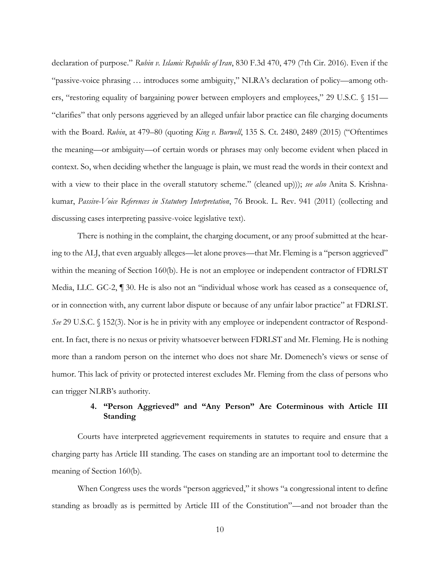declaration of purpose." *Rubin v. Islamic Republic of Iran*, 830 F.3d 470, 479 (7th Cir. 2016). Even if the "passive-voice phrasing … introduces some ambiguity," NLRA's declaration of policy—among others, "restoring equality of bargaining power between employers and employees," 29 U.S.C. § 151— "clarifies" that only persons aggrieved by an alleged unfair labor practice can file charging documents with the Board. *Rubin*, at 479–80 (quoting *King v. Burwell*, 135 S. Ct. 2480, 2489 (2015) ("Oftentimes the meaning—or ambiguity—of certain words or phrases may only become evident when placed in context. So, when deciding whether the language is plain, we must read the words in their context and with a view to their place in the overall statutory scheme." (cleaned up))); *see also* Anita S. Krishnakumar, *Passive-Voice References in Statutory Interpretation*, 76 Brook. L. Rev. 941 (2011) (collecting and discussing cases interpreting passive-voice legislative text).

There is nothing in the complaint, the charging document, or any proof submitted at the hearing to the ALJ, that even arguably alleges—let alone proves—that Mr. Fleming is a "person aggrieved" within the meaning of Section 160(b). He is not an employee or independent contractor of FDRLST Media, LLC. GC-2, ¶ 30. He is also not an "individual whose work has ceased as a consequence of, or in connection with, any current labor dispute or because of any unfair labor practice" at FDRLST. *See* 29 U.S.C. § 152(3). Nor is he in privity with any employee or independent contractor of Respondent. In fact, there is no nexus or privity whatsoever between FDRLST and Mr. Fleming. He is nothing more than a random person on the internet who does not share Mr. Domenech's views or sense of humor. This lack of privity or protected interest excludes Mr. Fleming from the class of persons who can trigger NLRB's authority.

## **4. "Person Aggrieved" and "Any Person" Are Coterminous with Article III Standing**

Courts have interpreted aggrievement requirements in statutes to require and ensure that a charging party has Article III standing. The cases on standing are an important tool to determine the meaning of Section 160(b).

When Congress uses the words "person aggrieved," it shows "a congressional intent to define standing as broadly as is permitted by Article III of the Constitution"—and not broader than the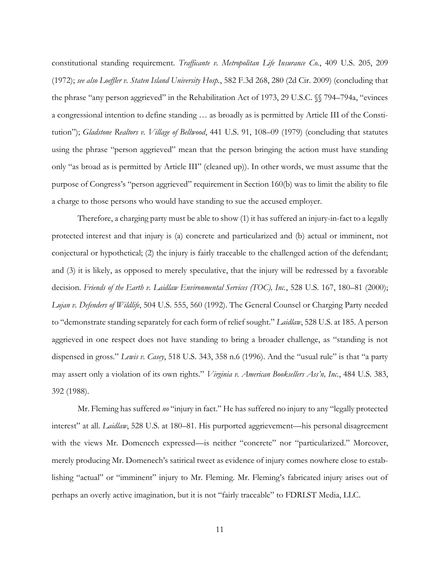constitutional standing requirement. *Trafficante v. Metropolitan Life Insurance Co.*, 409 U.S. 205, 209 (1972); *see also Loeffler v. Staten Island University Hosp.*, 582 F.3d 268, 280 (2d Cir. 2009) (concluding that the phrase "any person aggrieved" in the Rehabilitation Act of 1973, 29 U.S.C. §§ 794–794a, "evinces a congressional intention to define standing … as broadly as is permitted by Article III of the Constitution"); *Gladstone Realtors v. Village of Bellwood*, 441 U.S. 91, 108–09 (1979) (concluding that statutes using the phrase "person aggrieved" mean that the person bringing the action must have standing only "as broad as is permitted by Article III" (cleaned up)). In other words, we must assume that the purpose of Congress's "person aggrieved" requirement in Section 160(b) was to limit the ability to file a charge to those persons who would have standing to sue the accused employer.

Therefore, a charging party must be able to show (1) it has suffered an injury-in-fact to a legally protected interest and that injury is (a) concrete and particularized and (b) actual or imminent, not conjectural or hypothetical; (2) the injury is fairly traceable to the challenged action of the defendant; and (3) it is likely, as opposed to merely speculative, that the injury will be redressed by a favorable decision. *Friends of the Earth v. Laidlaw Environmental Services (TOC), Inc.*, 528 U.S. 167, 180–81 (2000); *Lujan v. Defenders of Wildlife*, 504 U.S. 555, 560 (1992). The General Counsel or Charging Party needed to "demonstrate standing separately for each form of relief sought." *Laidlaw*, 528 U.S. at 185. A person aggrieved in one respect does not have standing to bring a broader challenge, as "standing is not dispensed in gross." *Lewis v. Casey*, 518 U.S. 343, 358 n.6 (1996). And the "usual rule" is that "a party may assert only a violation of its own rights." *Virginia v. American Booksellers Ass'n, Inc.*, 484 U.S. 383, 392 (1988).

Mr. Fleming has suffered *no* "injury in fact." He has suffered no injury to any "legally protected interest" at all. *Laidlaw*, 528 U.S. at 180–81. His purported aggrievement—his personal disagreement with the views Mr. Domenech expressed—is neither "concrete" nor "particularized." Moreover, merely producing Mr. Domenech's satirical tweet as evidence of injury comes nowhere close to establishing "actual" or "imminent" injury to Mr. Fleming. Mr. Fleming's fabricated injury arises out of perhaps an overly active imagination, but it is not "fairly traceable" to FDRLST Media, LLC.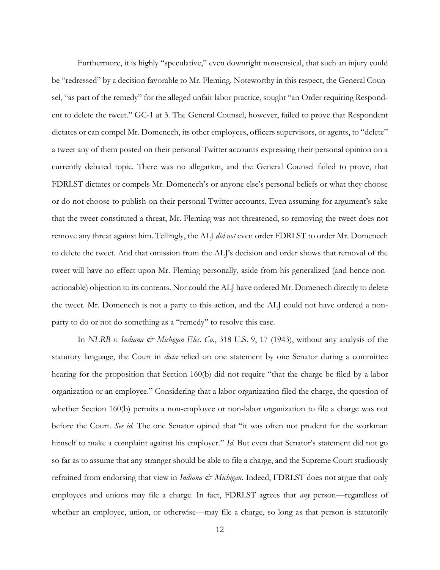Furthermore, it is highly "speculative," even downright nonsensical, that such an injury could be "redressed" by a decision favorable to Mr. Fleming. Noteworthy in this respect, the General Counsel, "as part of the remedy" for the alleged unfair labor practice, sought "an Order requiring Respondent to delete the tweet." GC-1 at 3. The General Counsel, however, failed to prove that Respondent dictates or can compel Mr. Domenech, its other employees, officers supervisors, or agents, to "delete" a tweet any of them posted on their personal Twitter accounts expressing their personal opinion on a currently debated topic. There was no allegation, and the General Counsel failed to prove, that FDRLST dictates or compels Mr. Domenech's or anyone else's personal beliefs or what they choose or do not choose to publish on their personal Twitter accounts. Even assuming for argument's sake that the tweet constituted a threat, Mr. Fleming was not threatened, so removing the tweet does not remove any threat against him. Tellingly, the ALJ *did not* even order FDRLST to order Mr. Domenech to delete the tweet. And that omission from the ALJ's decision and order shows that removal of the tweet will have no effect upon Mr. Fleming personally, aside from his generalized (and hence nonactionable) objection to its contents. Nor could the ALJ have ordered Mr. Domenech directly to delete the tweet. Mr. Domenech is not a party to this action, and the ALJ could not have ordered a nonparty to do or not do something as a "remedy" to resolve this case.

In *NLRB v. Indiana & Michigan Elec. Co.*, 318 U.S. 9, 17 (1943), without any analysis of the statutory language, the Court in *dicta* relied on one statement by one Senator during a committee hearing for the proposition that Section 160(b) did not require "that the charge be filed by a labor organization or an employee." Considering that a labor organization filed the charge, the question of whether Section 160(b) permits a non-employee or non-labor organization to file a charge was not before the Court. *See id.* The one Senator opined that "it was often not prudent for the workman himself to make a complaint against his employer." *Id*. But even that Senator's statement did not go so far as to assume that any stranger should be able to file a charge, and the Supreme Court studiously refrained from endorsing that view in *Indiana & Michigan*. Indeed, FDRLST does not argue that only employees and unions may file a charge. In fact, FDRLST agrees that *any* person—regardless of whether an employee, union, or otherwise—may file a charge, so long as that person is statutorily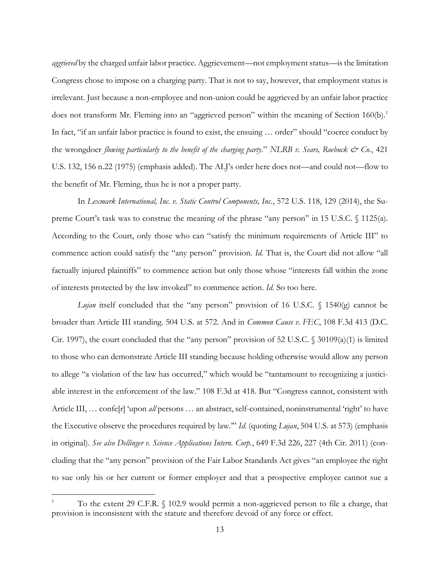*aggrieved* by the charged unfair labor practice. Aggrievement—not employment status—is the limitation Congress chose to impose on a charging party. That is not to say, however, that employment status is irrelevant. Just because a non-employee and non-union could be aggrieved by an unfair labor practice does not transform Mr. Fleming into an "aggrieved person" within the meaning of Section 160(b).<sup>1</sup> In fact, "if an unfair labor practice is found to exist, the ensuing … order" should "coerce conduct by the wrongdoer *flowing particularly to the benefit of the charging party*." *NLRB v. Sears, Roebuck & Co.*, 421 U.S. 132, 156 n.22 (1975) (emphasis added). The ALJ's order here does not—and could not—flow to the benefit of Mr. Fleming, thus he is not a proper party.

In *Lexmark International, Inc. v. Static Control Components, Inc.*, 572 U.S. 118, 129 (2014), the Supreme Court's task was to construe the meaning of the phrase "any person" in 15 U.S.C. § 1125(a). According to the Court, only those who can "satisfy the minimum requirements of Article III" to commence action could satisfy the "any person" provision. *Id.* That is, the Court did not allow "all factually injured plaintiffs" to commence action but only those whose "interests fall within the zone of interests protected by the law invoked" to commence action. *Id.* So too here.

*Lujan* itself concluded that the "any person" provision of 16 U.S.C. § 1540(g) cannot be broader than Article III standing. 504 U.S. at 572. And in *Common Cause v. FEC*, 108 F.3d 413 (D.C. Cir. 1997), the court concluded that the "any person" provision of 52 U.S.C.  $\sqrt{(}30109(a)(1)$  is limited to those who can demonstrate Article III standing because holding otherwise would allow any person to allege "a violation of the law has occurred," which would be "tantamount to recognizing a justiciable interest in the enforcement of the law." 108 F.3d at 418. But "Congress cannot, consistent with Article III, … confe[r] 'upon *all* persons … an abstract, self-contained, noninstrumental 'right' to have the Executive observe the procedures required by law.'" *Id.* (quoting *Lujan*, 504 U.S. at 573) (emphasis in original). *See also Dellinger v. Science Applications Intern. Corp.*, 649 F.3d 226, 227 (4th Cir. 2011) (concluding that the "any person" provision of the Fair Labor Standards Act gives "an employee the right to sue only his or her current or former employer and that a prospective employee cannot sue a

<sup>1</sup> To the extent 29 C.F.R. § 102.9 would permit a non-aggrieved person to file a charge, that provision is inconsistent with the statute and therefore devoid of any force or effect.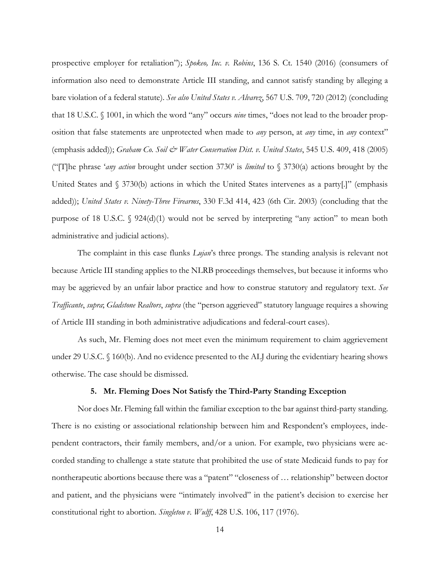prospective employer for retaliation"); *Spokeo, Inc. v. Robins*, 136 S. Ct. 1540 (2016) (consumers of information also need to demonstrate Article III standing, and cannot satisfy standing by alleging a bare violation of a federal statute). *See also United States v. Alvarez*, 567 U.S. 709, 720 (2012) (concluding that 18 U.S.C. § 1001, in which the word "any" occurs *nine* times, "does not lead to the broader proposition that false statements are unprotected when made to *any* person, at *any* time, in *any* context" (emphasis added)); *Graham Co. Soil & Water Conservation Dist. v. United States*, 545 U.S. 409, 418 (2005) ("[T]he phrase '*any action* brought under section 3730' is *limited* to § 3730(a) actions brought by the United States and § 3730(b) actions in which the United States intervenes as a party[.]" (emphasis added)); *United States v. Ninety-Three Firearms*, 330 F.3d 414, 423 (6th Cir. 2003) (concluding that the purpose of 18 U.S.C.  $\sqrt{924(d)(1)}$  would not be served by interpreting "any action" to mean both administrative and judicial actions).

The complaint in this case flunks *Lujan*'s three prongs. The standing analysis is relevant not because Article III standing applies to the NLRB proceedings themselves, but because it informs who may be aggrieved by an unfair labor practice and how to construe statutory and regulatory text. *See Trafficante*, *supra*; *Gladstone Realtors*, *supra* (the "person aggrieved" statutory language requires a showing of Article III standing in both administrative adjudications and federal-court cases).

As such, Mr. Fleming does not meet even the minimum requirement to claim aggrievement under 29 U.S.C. § 160(b). And no evidence presented to the ALJ during the evidentiary hearing shows otherwise. The case should be dismissed.

#### **5. Mr. Fleming Does Not Satisfy the Third-Party Standing Exception**

Nor does Mr. Fleming fall within the familiar exception to the bar against third-party standing. There is no existing or associational relationship between him and Respondent's employees, independent contractors, their family members, and/or a union. For example, two physicians were accorded standing to challenge a state statute that prohibited the use of state Medicaid funds to pay for nontherapeutic abortions because there was a "patent" "closeness of … relationship" between doctor and patient, and the physicians were "intimately involved" in the patient's decision to exercise her constitutional right to abortion. *Singleton v. Wulff*, 428 U.S. 106, 117 (1976).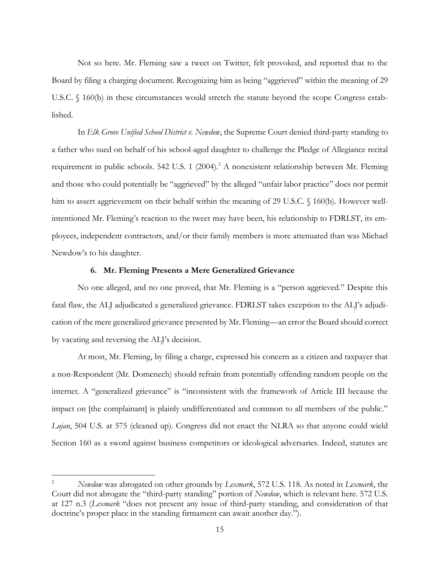Not so here. Mr. Fleming saw a tweet on Twitter, felt provoked, and reported that to the Board by filing a charging document. Recognizing him as being "aggrieved" within the meaning of 29 U.S.C.  $\S$  160(b) in these circumstances would stretch the statute beyond the scope Congress established.

In *Elk Grove Unified School District v. Newdow*, the Supreme Court denied third-party standing to a father who sued on behalf of his school-aged daughter to challenge the Pledge of Allegiance recital requirement in public schools. 542 U.S. 1 (2004).<sup>2</sup> A nonexistent relationship between Mr. Fleming and those who could potentially be "aggrieved" by the alleged "unfair labor practice" does not permit him to assert aggrievement on their behalf within the meaning of 29 U.S.C. § 160(b). However wellintentioned Mr. Fleming's reaction to the tweet may have been, his relationship to FDRLST, its employees, independent contractors, and/or their family members is more attenuated than was Michael Newdow's to his daughter.

#### **6. Mr. Fleming Presents a Mere Generalized Grievance**

No one alleged, and no one proved, that Mr. Fleming is a "person aggrieved." Despite this fatal flaw, the ALJ adjudicated a generalized grievance. FDRLST takes exception to the ALJ's adjudication of the mere generalized grievance presented by Mr. Fleming—an error the Board should correct by vacating and reversing the ALJ's decision.

At most, Mr. Fleming, by filing a charge, expressed his concern as a citizen and taxpayer that a non-Respondent (Mr. Domenech) should refrain from potentially offending random people on the internet. A "generalized grievance" is "inconsistent with the framework of Article III because the impact on [the complainant] is plainly undifferentiated and common to all members of the public." *Lujan*, 504 U.S. at 575 (cleaned up). Congress did not enact the NLRA so that anyone could wield Section 160 as a sword against business competitors or ideological adversaries. Indeed, statutes are

<sup>2</sup> *Newdow* was abrogated on other grounds by *Lexmark*, 572 U.S. 118. As noted in *Lexmark*, the Court did not abrogate the "third-party standing" portion of *Newdow*, which is relevant here. 572 U.S. at 127 n.3 (*Lexmark* "does not present any issue of third-party standing, and consideration of that doctrine's proper place in the standing firmament can await another day.").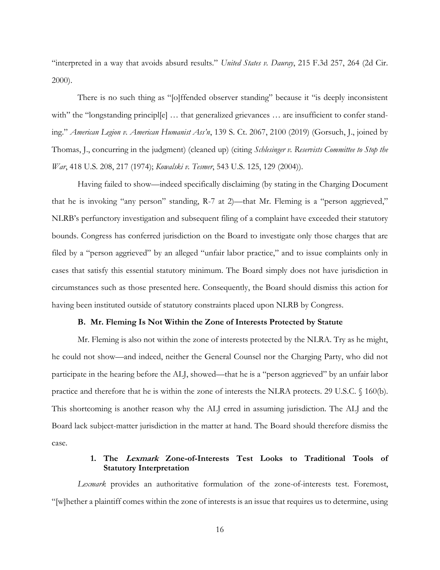"interpreted in a way that avoids absurd results." *United States v. Dauray*, 215 F.3d 257, 264 (2d Cir. 2000).

There is no such thing as "[o]ffended observer standing" because it "is deeply inconsistent with" the "longstanding principl[e] ... that generalized grievances ... are insufficient to confer standing." *American Legion v. American Humanist Ass'n*, 139 S. Ct. 2067, 2100 (2019) (Gorsuch, J., joined by Thomas, J., concurring in the judgment) (cleaned up) (citing *Schlesinger v. Reservists Committee to Stop the War*, 418 U.S. 208, 217 (1974); *Kowalski v. Tesmer*, 543 U.S. 125, 129 (2004)).

Having failed to show—indeed specifically disclaiming (by stating in the Charging Document that he is invoking "any person" standing, R-7 at 2)—that Mr. Fleming is a "person aggrieved," NLRB's perfunctory investigation and subsequent filing of a complaint have exceeded their statutory bounds. Congress has conferred jurisdiction on the Board to investigate only those charges that are filed by a "person aggrieved" by an alleged "unfair labor practice," and to issue complaints only in cases that satisfy this essential statutory minimum. The Board simply does not have jurisdiction in circumstances such as those presented here. Consequently, the Board should dismiss this action for having been instituted outside of statutory constraints placed upon NLRB by Congress.

#### **B. Mr. Fleming Is Not Within the Zone of Interests Protected by Statute**

Mr. Fleming is also not within the zone of interests protected by the NLRA. Try as he might, he could not show—and indeed, neither the General Counsel nor the Charging Party, who did not participate in the hearing before the ALJ, showed—that he is a "person aggrieved" by an unfair labor practice and therefore that he is within the zone of interests the NLRA protects. 29 U.S.C. § 160(b). This shortcoming is another reason why the ALJ erred in assuming jurisdiction. The ALJ and the Board lack subject-matter jurisdiction in the matter at hand. The Board should therefore dismiss the case.

## **1. The Lexmark Zone-of-Interests Test Looks to Traditional Tools of Statutory Interpretation**

*Lexmark* provides an authoritative formulation of the zone-of-interests test. Foremost, "[w]hether a plaintiff comes within the zone of interests is an issue that requires us to determine, using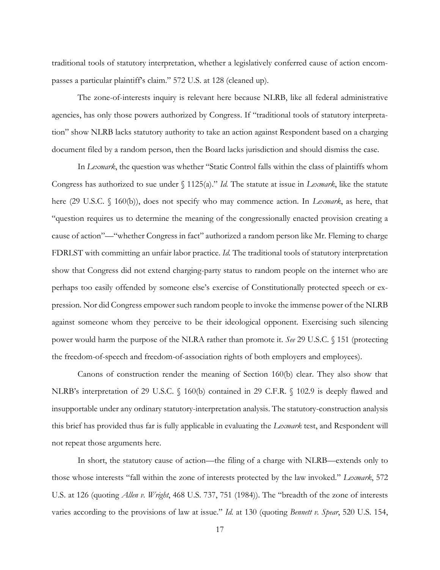traditional tools of statutory interpretation, whether a legislatively conferred cause of action encompasses a particular plaintiff's claim." 572 U.S. at 128 (cleaned up).

The zone-of-interests inquiry is relevant here because NLRB, like all federal administrative agencies, has only those powers authorized by Congress. If "traditional tools of statutory interpretation" show NLRB lacks statutory authority to take an action against Respondent based on a charging document filed by a random person, then the Board lacks jurisdiction and should dismiss the case.

In *Lexmark*, the question was whether "Static Control falls within the class of plaintiffs whom Congress has authorized to sue under § 1125(a)." *Id.* The statute at issue in *Lexmark*, like the statute here (29 U.S.C. § 160(b)), does not specify who may commence action. In *Lexmark*, as here, that "question requires us to determine the meaning of the congressionally enacted provision creating a cause of action"—"whether Congress in fact" authorized a random person like Mr. Fleming to charge FDRLST with committing an unfair labor practice. *Id.* The traditional tools of statutory interpretation show that Congress did not extend charging-party status to random people on the internet who are perhaps too easily offended by someone else's exercise of Constitutionally protected speech or expression. Nor did Congress empower such random people to invoke the immense power of the NLRB against someone whom they perceive to be their ideological opponent. Exercising such silencing power would harm the purpose of the NLRA rather than promote it. *See* 29 U.S.C. § 151 (protecting the freedom-of-speech and freedom-of-association rights of both employers and employees).

Canons of construction render the meaning of Section 160(b) clear. They also show that NLRB's interpretation of 29 U.S.C. § 160(b) contained in 29 C.F.R. § 102.9 is deeply flawed and insupportable under any ordinary statutory-interpretation analysis. The statutory-construction analysis this brief has provided thus far is fully applicable in evaluating the *Lexmark* test, and Respondent will not repeat those arguments here.

In short, the statutory cause of action—the filing of a charge with NLRB—extends only to those whose interests "fall within the zone of interests protected by the law invoked." *Lexmark*, 572 U.S. at 126 (quoting *Allen v. Wright*, 468 U.S. 737, 751 (1984)). The "breadth of the zone of interests varies according to the provisions of law at issue." *Id.* at 130 (quoting *Bennett v. Spear*, 520 U.S. 154,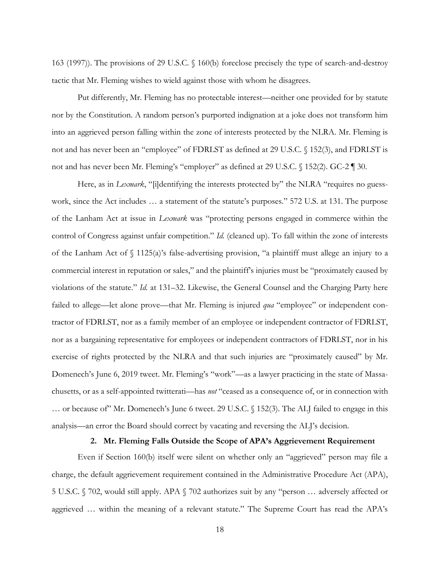163 (1997)). The provisions of 29 U.S.C. § 160(b) foreclose precisely the type of search-and-destroy tactic that Mr. Fleming wishes to wield against those with whom he disagrees.

Put differently, Mr. Fleming has no protectable interest—neither one provided for by statute nor by the Constitution. A random person's purported indignation at a joke does not transform him into an aggrieved person falling within the zone of interests protected by the NLRA. Mr. Fleming is not and has never been an "employee" of FDRLST as defined at 29 U.S.C. § 152(3), and FDRLST is not and has never been Mr. Fleming's "employer" as defined at 29 U.S.C. § 152(2). GC-2 ¶ 30.

Here, as in *Lexmark*, "[i]dentifying the interests protected by" the NLRA "requires no guesswork, since the Act includes … a statement of the statute's purposes." 572 U.S. at 131. The purpose of the Lanham Act at issue in *Lexmark* was "protecting persons engaged in commerce within the control of Congress against unfair competition." *Id.* (cleaned up). To fall within the zone of interests of the Lanham Act of § 1125(a)'s false-advertising provision, "a plaintiff must allege an injury to a commercial interest in reputation or sales," and the plaintiff's injuries must be "proximately caused by violations of the statute." *Id.* at 131–32. Likewise, the General Counsel and the Charging Party here failed to allege—let alone prove—that Mr. Fleming is injured *qua* "employee" or independent contractor of FDRLST, nor as a family member of an employee or independent contractor of FDRLST, nor as a bargaining representative for employees or independent contractors of FDRLST, nor in his exercise of rights protected by the NLRA and that such injuries are "proximately caused" by Mr. Domenech's June 6, 2019 tweet. Mr. Fleming's "work"—as a lawyer practicing in the state of Massachusetts, or as a self-appointed twitterati—has *not* "ceased as a consequence of, or in connection with … or because of" Mr. Domenech's June 6 tweet. 29 U.S.C. § 152(3). The ALJ failed to engage in this analysis—an error the Board should correct by vacating and reversing the ALJ's decision.

### **2. Mr. Fleming Falls Outside the Scope of APA's Aggrievement Requirement**

Even if Section 160(b) itself were silent on whether only an "aggrieved" person may file a charge, the default aggrievement requirement contained in the Administrative Procedure Act (APA), 5 U.S.C. § 702, would still apply. APA § 702 authorizes suit by any "person … adversely affected or aggrieved … within the meaning of a relevant statute." The Supreme Court has read the APA's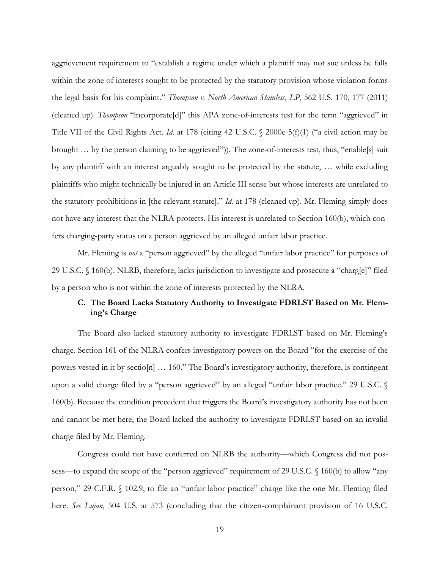aggrievement requirement to "establish a regime under which a plaintiff may not sue unless he falls within the zone of interests sought to be protected by the statutory provision whose violation forms the legal basis for his complaint." *Thompson v. North American Stainless, LP*, 562 U.S. 170, 177 (2011) (cleaned up). *Thompson* "incorporate[d]" this APA zone-of-interests test for the term "aggrieved" in Title VII of the Civil Rights Act. *Id.* at 178 (citing 42 U.S.C. § 2000e-5(f)(1) ("a civil action may be brought … by the person claiming to be aggrieved")). The zone-of-interests test, thus, "enable[s] suit by any plaintiff with an interest arguably sought to be protected by the statute, … while excluding plaintiffs who might technically be injured in an Article III sense but whose interests are unrelated to the statutory prohibitions in [the relevant statute]." *Id.* at 178 (cleaned up). Mr. Fleming simply does not have any interest that the NLRA protects. His interest is unrelated to Section 160(b), which confers charging-party status on a person aggrieved by an alleged unfair labor practice.

Mr. Fleming is *not* a "person aggrieved" by the alleged "unfair labor practice" for purposes of 29 U.S.C. § 160(b). NLRB, therefore, lacks jurisdiction to investigate and prosecute a "charg[e]" filed by a person who is not within the zone of interests protected by the NLRA.

## **C. The Board Lacks Statutory Authority to Investigate FDRLST Based on Mr. Fleming's Charge**

The Board also lacked statutory authority to investigate FDRLST based on Mr. Fleming's charge. Section 161 of the NLRA confers investigatory powers on the Board "for the exercise of the powers vested in it by sectio[n] … 160." The Board's investigatory authority, therefore, is contingent upon a valid charge filed by a "person aggrieved" by an alleged "unfair labor practice." 29 U.S.C. § 160(b). Because the condition precedent that triggers the Board's investigatory authority has not been and cannot be met here, the Board lacked the authority to investigate FDRLST based on an invalid charge filed by Mr. Fleming.

Congress could not have conferred on NLRB the authority—which Congress did not possess—to expand the scope of the "person aggrieved" requirement of 29 U.S.C. § 160(b) to allow "any person," 29 C.F.R. § 102.9, to file an "unfair labor practice" charge like the one Mr. Fleming filed here. *See Lujan*, 504 U.S. at 573 (concluding that the citizen-complainant provision of 16 U.S.C.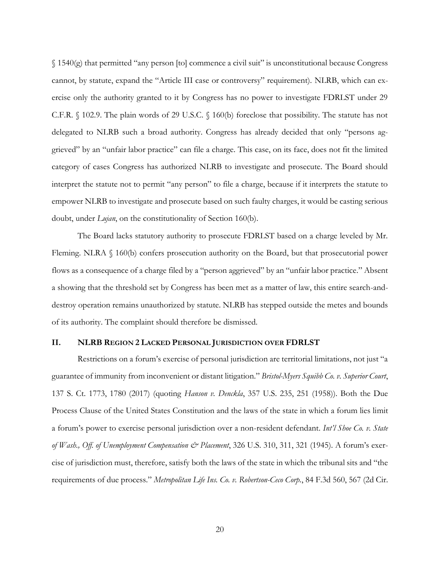§ 1540(g) that permitted "any person [to] commence a civil suit" is unconstitutional because Congress cannot, by statute, expand the "Article III case or controversy" requirement). NLRB, which can exercise only the authority granted to it by Congress has no power to investigate FDRLST under 29 C.F.R. § 102.9. The plain words of 29 U.S.C. § 160(b) foreclose that possibility. The statute has not delegated to NLRB such a broad authority. Congress has already decided that only "persons aggrieved" by an "unfair labor practice" can file a charge. This case, on its face, does not fit the limited category of cases Congress has authorized NLRB to investigate and prosecute. The Board should interpret the statute not to permit "any person" to file a charge, because if it interprets the statute to empower NLRB to investigate and prosecute based on such faulty charges, it would be casting serious doubt, under *Lujan*, on the constitutionality of Section 160(b).

The Board lacks statutory authority to prosecute FDRLST based on a charge leveled by Mr. Fleming. NLRA § 160(b) confers prosecution authority on the Board, but that prosecutorial power flows as a consequence of a charge filed by a "person aggrieved" by an "unfair labor practice." Absent a showing that the threshold set by Congress has been met as a matter of law, this entire search-anddestroy operation remains unauthorized by statute. NLRB has stepped outside the metes and bounds of its authority. The complaint should therefore be dismissed.

#### **II. NLRB REGION 2 LACKED PERSONAL JURISDICTION OVER FDRLST**

Restrictions on a forum's exercise of personal jurisdiction are territorial limitations, not just "a guarantee of immunity from inconvenient or distant litigation." *Bristol-Myers Squibb Co. v. Superior Court*, 137 S. Ct. 1773, 1780 (2017) (quoting *Hanson v. Denckla*, 357 U.S. 235, 251 (1958)). Both the Due Process Clause of the United States Constitution and the laws of the state in which a forum lies limit a forum's power to exercise personal jurisdiction over a non-resident defendant. *Int'l Shoe Co. v. State of Wash., Off. of Unemployment Compensation & Placement*, 326 U.S. 310, 311, 321 (1945). A forum's exercise of jurisdiction must, therefore, satisfy both the laws of the state in which the tribunal sits and "the requirements of due process." *Metropolitan Life Ins. Co. v. Robertson-Ceco Corp.*, 84 F.3d 560, 567 (2d Cir.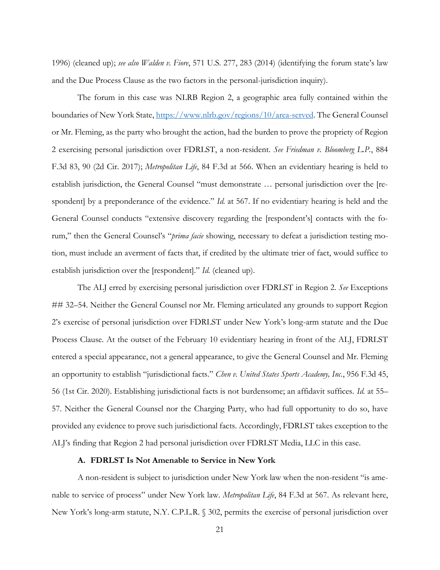1996) (cleaned up); *see also Walden v. Fiore*, 571 U.S. 277, 283 (2014) (identifying the forum state's law and the Due Process Clause as the two factors in the personal-jurisdiction inquiry).

The forum in this case was NLRB Region 2, a geographic area fully contained within the boundaries of New York State, https://www.nlrb.gov/regions/10/area-served. The General Counsel or Mr. Fleming, as the party who brought the action, had the burden to prove the propriety of Region 2 exercising personal jurisdiction over FDRLST, a non-resident. *See Friedman v. Bloomberg L.P.*, 884 F.3d 83, 90 (2d Cir. 2017); *Metropolitan Life*, 84 F.3d at 566. When an evidentiary hearing is held to establish jurisdiction, the General Counsel "must demonstrate … personal jurisdiction over the [respondent] by a preponderance of the evidence." *Id.* at 567. If no evidentiary hearing is held and the General Counsel conducts "extensive discovery regarding the [respondent's] contacts with the forum," then the General Counsel's "*prima facie* showing, necessary to defeat a jurisdiction testing motion, must include an averment of facts that, if credited by the ultimate trier of fact, would suffice to establish jurisdiction over the [respondent]." *Id.* (cleaned up).

The ALJ erred by exercising personal jurisdiction over FDRLST in Region 2. *See* Exceptions ## 32–54. Neither the General Counsel nor Mr. Fleming articulated any grounds to support Region 2's exercise of personal jurisdiction over FDRLST under New York's long-arm statute and the Due Process Clause. At the outset of the February 10 evidentiary hearing in front of the ALJ, FDRLST entered a special appearance, not a general appearance, to give the General Counsel and Mr. Fleming an opportunity to establish "jurisdictional facts." *Chen v. United States Sports Academy, Inc.*, 956 F.3d 45, 56 (1st Cir. 2020). Establishing jurisdictional facts is not burdensome; an affidavit suffices. *Id.* at 55– 57. Neither the General Counsel nor the Charging Party, who had full opportunity to do so, have provided any evidence to prove such jurisdictional facts. Accordingly, FDRLST takes exception to the ALJ's finding that Region 2 had personal jurisdiction over FDRLST Media, LLC in this case.

## **A. FDRLST Is Not Amenable to Service in New York**

A non-resident is subject to jurisdiction under New York law when the non-resident "is amenable to service of process" under New York law. *Metropolitan Life*, 84 F.3d at 567. As relevant here, New York's long-arm statute, N.Y. C.P.L.R. § 302, permits the exercise of personal jurisdiction over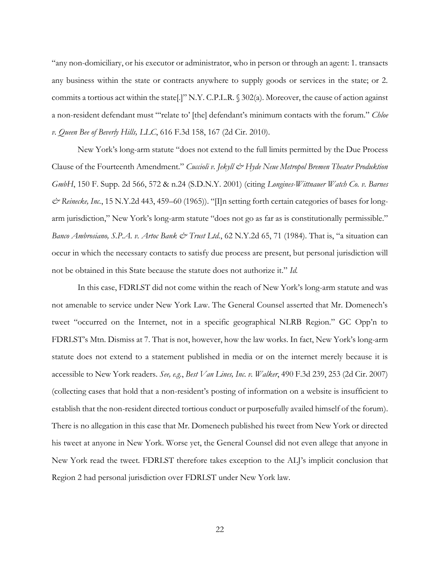"any non-domiciliary, or his executor or administrator, who in person or through an agent: 1. transacts any business within the state or contracts anywhere to supply goods or services in the state; or 2. commits a tortious act within the state[.]" N.Y. C.P.L.R. § 302(a). Moreover, the cause of action against a non-resident defendant must "'relate to' [the] defendant's minimum contacts with the forum." *Chloe v. Queen Bee of Beverly Hills, LLC*, 616 F.3d 158, 167 (2d Cir. 2010).

New York's long-arm statute "does not extend to the full limits permitted by the Due Process Clause of the Fourteenth Amendment." *Cuccioli v. Jekyll & Hyde Neue Metropol Bremen Theater Produktion GmbH*, 150 F. Supp. 2d 566, 572 & n.24 (S.D.N.Y. 2001) (citing *Longines-Wittnauer Watch Co. v. Barnes & Reinecke, Inc.*, 15 N.Y.2d 443, 459–60 (1965)). "[I]n setting forth certain categories of bases for longarm jurisdiction," New York's long-arm statute "does not go as far as is constitutionally permissible." *Banco Ambrosiano, S.P.A. v. Artoc Bank & Trust Ltd.*, 62 N.Y.2d 65, 71 (1984). That is, "a situation can occur in which the necessary contacts to satisfy due process are present, but personal jurisdiction will not be obtained in this State because the statute does not authorize it." *Id.* 

In this case, FDRLST did not come within the reach of New York's long-arm statute and was not amenable to service under New York Law. The General Counsel asserted that Mr. Domenech's tweet "occurred on the Internet, not in a specific geographical NLRB Region." GC Opp'n to FDRLST's Mtn. Dismiss at 7. That is not, however, how the law works. In fact, New York's long-arm statute does not extend to a statement published in media or on the internet merely because it is accessible to New York readers. *See, e.g.*, *Best Van Lines, Inc. v. Walker*, 490 F.3d 239, 253 (2d Cir. 2007) (collecting cases that hold that a non-resident's posting of information on a website is insufficient to establish that the non-resident directed tortious conduct or purposefully availed himself of the forum). There is no allegation in this case that Mr. Domenech published his tweet from New York or directed his tweet at anyone in New York. Worse yet, the General Counsel did not even allege that anyone in New York read the tweet. FDRLST therefore takes exception to the ALJ's implicit conclusion that Region 2 had personal jurisdiction over FDRLST under New York law.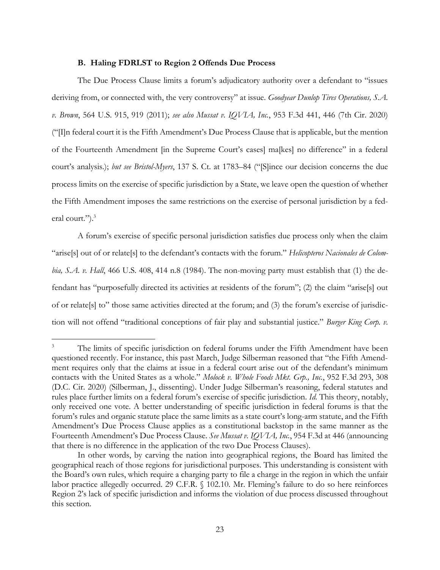#### **B. Haling FDRLST to Region 2 Offends Due Process**

The Due Process Clause limits a forum's adjudicatory authority over a defendant to "issues deriving from, or connected with, the very controversy" at issue. *Goodyear Dunlop Tires Operations, S.A. v. Brown*, 564 U.S. 915, 919 (2011); *see also Mussat v. IQVIA, Inc.*, 953 F.3d 441, 446 (7th Cir. 2020) ("[I]n federal court it is the Fifth Amendment's Due Process Clause that is applicable, but the mention of the Fourteenth Amendment [in the Supreme Court's cases] ma[kes] no difference" in a federal court's analysis.); *but see Bristol-Myers*, 137 S. Ct. at 1783–84 ("[S]ince our decision concerns the due process limits on the exercise of specific jurisdiction by a State, we leave open the question of whether the Fifth Amendment imposes the same restrictions on the exercise of personal jurisdiction by a federal court.").<sup>3</sup>

A forum's exercise of specific personal jurisdiction satisfies due process only when the claim "arise[s] out of or relate[s] to the defendant's contacts with the forum." *Helicopteros Nacionales de Colombia, S.A. v. Hall*, 466 U.S. 408, 414 n.8 (1984). The non-moving party must establish that (1) the defendant has "purposefully directed its activities at residents of the forum"; (2) the claim "arise[s] out of or relate[s] to" those same activities directed at the forum; and (3) the forum's exercise of jurisdiction will not offend "traditional conceptions of fair play and substantial justice." *Burger King Corp. v.* 

The limits of specific jurisdiction on federal forums under the Fifth Amendment have been questioned recently. For instance, this past March, Judge Silberman reasoned that "the Fifth Amendment requires only that the claims at issue in a federal court arise out of the defendant's minimum contacts with the United States as a whole." *Molock v. Whole Foods Mkt. Grp., Inc.*, 952 F.3d 293, 308 (D.C. Cir. 2020) (Silberman, J., dissenting). Under Judge Silberman's reasoning, federal statutes and rules place further limits on a federal forum's exercise of specific jurisdiction. *Id.* This theory, notably, only received one vote. A better understanding of specific jurisdiction in federal forums is that the forum's rules and organic statute place the same limits as a state court's long-arm statute, and the Fifth Amendment's Due Process Clause applies as a constitutional backstop in the same manner as the Fourteenth Amendment's Due Process Clause. *See Mussat v. IQVIA, Inc.*, 954 F.3d at 446 (announcing that there is no difference in the application of the two Due Process Clauses).

In other words, by carving the nation into geographical regions, the Board has limited the geographical reach of those regions for jurisdictional purposes. This understanding is consistent with the Board's own rules, which require a charging party to file a charge in the region in which the unfair labor practice allegedly occurred. 29 C.F.R. § 102.10. Mr. Fleming's failure to do so here reinforces Region 2's lack of specific jurisdiction and informs the violation of due process discussed throughout this section.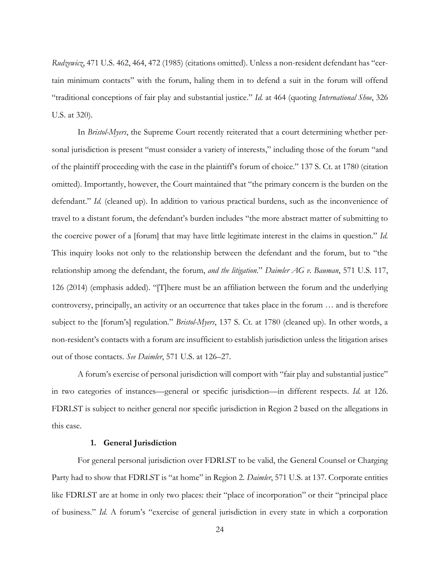*Rudzewicz*, 471 U.S. 462, 464, 472 (1985) (citations omitted). Unless a non-resident defendant has "certain minimum contacts" with the forum, haling them in to defend a suit in the forum will offend "traditional conceptions of fair play and substantial justice." *Id.* at 464 (quoting *International Shoe*, 326 U.S. at 320).

In *Bristol-Myers*, the Supreme Court recently reiterated that a court determining whether personal jurisdiction is present "must consider a variety of interests," including those of the forum "and of the plaintiff proceeding with the case in the plaintiff's forum of choice." 137 S. Ct. at 1780 (citation omitted). Importantly, however, the Court maintained that "the primary concern is the burden on the defendant." *Id.* (cleaned up). In addition to various practical burdens, such as the inconvenience of travel to a distant forum, the defendant's burden includes "the more abstract matter of submitting to the coercive power of a [forum] that may have little legitimate interest in the claims in question." *Id.* This inquiry looks not only to the relationship between the defendant and the forum, but to "the relationship among the defendant, the forum, *and the litigation*." *Daimler AG v. Bauman*, 571 U.S. 117, 126 (2014) (emphasis added). "[T]here must be an affiliation between the forum and the underlying controversy, principally, an activity or an occurrence that takes place in the forum … and is therefore subject to the [forum's] regulation." *Bristol-Myers*, 137 S. Ct. at 1780 (cleaned up). In other words, a non-resident's contacts with a forum are insufficient to establish jurisdiction unless the litigation arises out of those contacts. *See Daimler*, 571 U.S. at 126–27.

A forum's exercise of personal jurisdiction will comport with "fair play and substantial justice" in two categories of instances—general or specific jurisdiction—in different respects. *Id.* at 126. FDRLST is subject to neither general nor specific jurisdiction in Region 2 based on the allegations in this case.

#### **1. General Jurisdiction**

For general personal jurisdiction over FDRLST to be valid, the General Counsel or Charging Party had to show that FDRLST is "at home" in Region 2. *Daimler*, 571 U.S. at 137. Corporate entities like FDRLST are at home in only two places: their "place of incorporation" or their "principal place of business." *Id.* A forum's "exercise of general jurisdiction in every state in which a corporation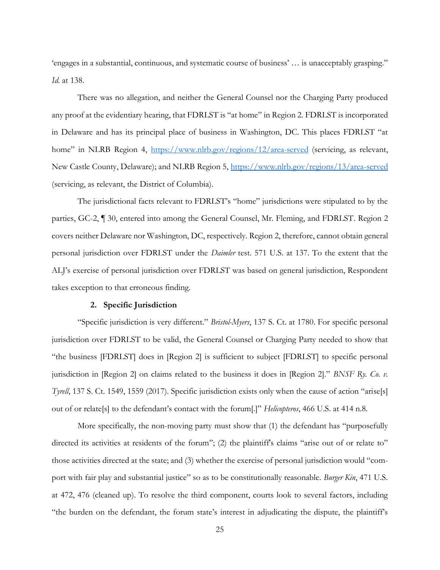'engages in a substantial, continuous, and systematic course of business' … is unacceptably grasping." *Id.* at 138.

There was no allegation, and neither the General Counsel nor the Charging Party produced any proof at the evidentiary hearing, that FDRLST is "at home" in Region 2. FDRLST is incorporated in Delaware and has its principal place of business in Washington, DC. This places FDRLST "at home" in NLRB Region 4, https://www.nlrb.gov/regions/12/area-served (servicing, as relevant, New Castle County, Delaware); and NLRB Region 5, https://www.nlrb.gov/regions/13/area-served (servicing, as relevant, the District of Columbia).

The jurisdictional facts relevant to FDRLST's "home" jurisdictions were stipulated to by the parties, GC-2, ¶ 30, entered into among the General Counsel, Mr. Fleming, and FDRLST. Region 2 covers neither Delaware nor Washington, DC, respectively. Region 2, therefore, cannot obtain general personal jurisdiction over FDRLST under the *Daimler* test. 571 U.S. at 137. To the extent that the ALJ's exercise of personal jurisdiction over FDRLST was based on general jurisdiction, Respondent takes exception to that erroneous finding.

#### **2. Specific Jurisdiction**

"Specific jurisdiction is very different." *Bristol-Myers*, 137 S. Ct. at 1780. For specific personal jurisdiction over FDRLST to be valid, the General Counsel or Charging Party needed to show that "the business [FDRLST] does in [Region 2] is sufficient to subject [FDRLST] to specific personal jurisdiction in [Region 2] on claims related to the business it does in [Region 2]." *BNSF Ry. Co. v. Tyrell*, 137 S. Ct. 1549, 1559 (2017). Specific jurisdiction exists only when the cause of action "arise[s] out of or relate[s] to the defendant's contact with the forum[.]" *Helicopteros*, 466 U.S. at 414 n.8.

More specifically, the non-moving party must show that (1) the defendant has "purposefully directed its activities at residents of the forum"; (2) the plaintiff's claims "arise out of or relate to" those activities directed at the state; and (3) whether the exercise of personal jurisdiction would "comport with fair play and substantial justice" so as to be constitutionally reasonable. *Burger Kin*, 471 U.S. at 472, 476 (cleaned up). To resolve the third component, courts look to several factors, including "the burden on the defendant, the forum state's interest in adjudicating the dispute, the plaintiff's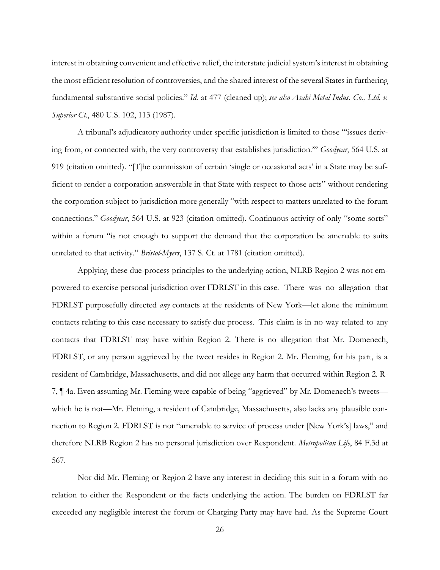interest in obtaining convenient and effective relief, the interstate judicial system's interest in obtaining the most efficient resolution of controversies, and the shared interest of the several States in furthering fundamental substantive social policies." *Id.* at 477 (cleaned up); *see also Asahi Metal Indus. Co., Ltd. v. Superior Ct.*, 480 U.S. 102, 113 (1987).

A tribunal's adjudicatory authority under specific jurisdiction is limited to those "'issues deriving from, or connected with, the very controversy that establishes jurisdiction.'" *Goodyear*, 564 U.S. at 919 (citation omitted). "[T]he commission of certain 'single or occasional acts' in a State may be sufficient to render a corporation answerable in that State with respect to those acts" without rendering the corporation subject to jurisdiction more generally "with respect to matters unrelated to the forum connections." *Goodyear*, 564 U.S. at 923 (citation omitted). Continuous activity of only "some sorts" within a forum "is not enough to support the demand that the corporation be amenable to suits unrelated to that activity." *Bristol-Myers*, 137 S. Ct. at 1781 (citation omitted).

Applying these due-process principles to the underlying action, NLRB Region 2 was not empowered to exercise personal jurisdiction over FDRLST in this case. There was no allegation that FDRLST purposefully directed *any* contacts at the residents of New York—let alone the minimum contacts relating to this case necessary to satisfy due process. This claim is in no way related to any contacts that FDRLST may have within Region 2. There is no allegation that Mr. Domenech, FDRLST, or any person aggrieved by the tweet resides in Region 2. Mr. Fleming, for his part, is a resident of Cambridge, Massachusetts, and did not allege any harm that occurred within Region 2. R-7, ¶ 4a. Even assuming Mr. Fleming were capable of being "aggrieved" by Mr. Domenech's tweets which he is not—Mr. Fleming, a resident of Cambridge, Massachusetts, also lacks any plausible connection to Region 2. FDRLST is not "amenable to service of process under [New York's] laws," and therefore NLRB Region 2 has no personal jurisdiction over Respondent. *Metropolitan Life*, 84 F.3d at 567.

Nor did Mr. Fleming or Region 2 have any interest in deciding this suit in a forum with no relation to either the Respondent or the facts underlying the action. The burden on FDRLST far exceeded any negligible interest the forum or Charging Party may have had. As the Supreme Court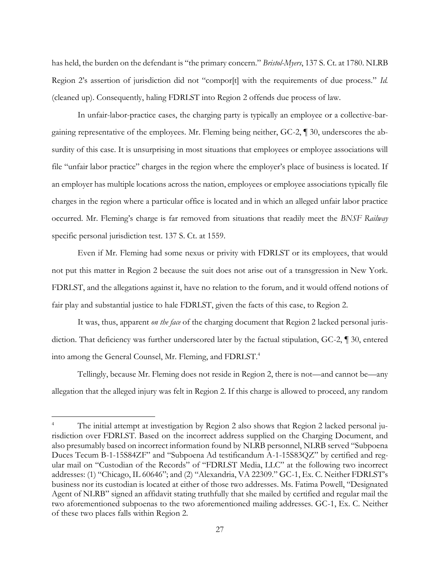has held, the burden on the defendant is "the primary concern." *Bristol-Myers*, 137 S. Ct. at 1780. NLRB Region 2's assertion of jurisdiction did not "compor[t] with the requirements of due process." *Id.* (cleaned up). Consequently, haling FDRLST into Region 2 offends due process of law.

In unfair-labor-practice cases, the charging party is typically an employee or a collective-bargaining representative of the employees. Mr. Fleming being neither, GC-2, ¶ 30, underscores the absurdity of this case. It is unsurprising in most situations that employees or employee associations will file "unfair labor practice" charges in the region where the employer's place of business is located. If an employer has multiple locations across the nation, employees or employee associations typically file charges in the region where a particular office is located and in which an alleged unfair labor practice occurred. Mr. Fleming's charge is far removed from situations that readily meet the *BNSF Railway* specific personal jurisdiction test. 137 S. Ct. at 1559.

Even if Mr. Fleming had some nexus or privity with FDRLST or its employees, that would not put this matter in Region 2 because the suit does not arise out of a transgression in New York. FDRLST, and the allegations against it, have no relation to the forum, and it would offend notions of fair play and substantial justice to hale FDRLST, given the facts of this case, to Region 2.

It was, thus, apparent *on the face* of the charging document that Region 2 lacked personal jurisdiction. That deficiency was further underscored later by the factual stipulation, GC-2, ¶ 30, entered into among the General Counsel, Mr. Fleming, and FDRLST.<sup>4</sup>

Tellingly, because Mr. Fleming does not reside in Region 2, there is not—and cannot be—any allegation that the alleged injury was felt in Region 2. If this charge is allowed to proceed, any random

The initial attempt at investigation by Region 2 also shows that Region 2 lacked personal jurisdiction over FDRLST. Based on the incorrect address supplied on the Charging Document, and also presumably based on incorrect information found by NLRB personnel, NLRB served "Subpoena Duces Tecum B-1-15S84ZF" and "Subpoena Ad testificandum A-1-15S83QZ" by certified and regular mail on "Custodian of the Records" of "FDRLST Media, LLC" at the following two incorrect addresses: (1) "Chicago, IL 60646"; and (2) "Alexandria, VA 22309." GC-1, Ex. C. Neither FDRLST's business nor its custodian is located at either of those two addresses. Ms. Fatima Powell, "Designated Agent of NLRB" signed an affidavit stating truthfully that she mailed by certified and regular mail the two aforementioned subpoenas to the two aforementioned mailing addresses. GC-1, Ex. C. Neither of these two places falls within Region 2.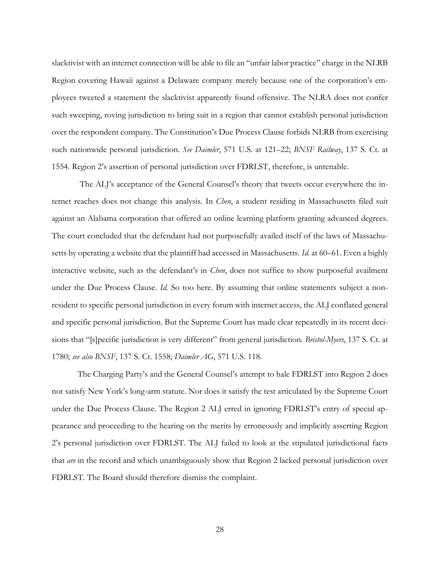slacktivist with an internet connection will be able to file an "unfair labor practice" charge in the NLRB Region covering Hawaii against a Delaware company merely because one of the corporation's employees tweeted a statement the slacktivist apparently found offensive. The NLRA does not confer such sweeping, roving jurisdiction to bring suit in a region that cannot establish personal jurisdiction over the respondent company. The Constitution's Due Process Clause forbids NLRB from exercising such nationwide personal jurisdiction. *See Daimler*, 571 U.S. at 121–22; *BNSF Railway*, 137 S. Ct. at 1554. Region 2's assertion of personal jurisdiction over FDRLST, therefore, is untenable.

The ALJ's acceptance of the General Counsel's theory that tweets occur everywhere the internet reaches does not change this analysis. In *Chen*, a student residing in Massachusetts filed suit against an Alabama corporation that offered an online learning platform granting advanced degrees. The court concluded that the defendant had not purposefully availed itself of the laws of Massachusetts by operating a website that the plaintiff had accessed in Massachusetts. *Id.* at 60–61. Even a highly interactive website, such as the defendant's in *Chen*, does not suffice to show purposeful availment under the Due Process Clause. *Id.* So too here. By assuming that online statements subject a nonresident to specific personal jurisdiction in every forum with internet access, the ALJ conflated general and specific personal jurisdiction. But the Supreme Court has made clear repeatedly in its recent decisions that "[s]pecific jurisdiction is very different" from general jurisdiction. *Bristol-Myers*, 137 S. Ct. at 1780; *see also BNSF*, 137 S. Ct. 1558; *Daimler AG*, 571 U.S. 118.

The Charging Party's and the General Counsel's attempt to hale FDRLST into Region 2 does not satisfy New York's long-arm statute. Nor does it satisfy the test articulated by the Supreme Court under the Due Process Clause. The Region 2 ALJ erred in ignoring FDRLST's entry of special appearance and proceeding to the hearing on the merits by erroneously and implicitly asserting Region 2's personal jurisdiction over FDRLST. The ALJ failed to look at the stipulated jurisdictional facts that *are* in the record and which unambiguously show that Region 2 lacked personal jurisdiction over FDRLST. The Board should therefore dismiss the complaint.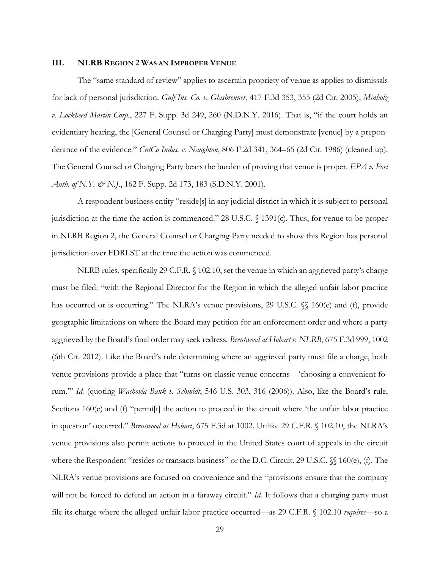### **III. NLRB REGION 2 WAS AN IMPROPER VENUE**

The "same standard of review" applies to ascertain propriety of venue as applies to dismissals for lack of personal jurisdiction. *Gulf Ins. Co. v. Glasbrenner*, 417 F.3d 353, 355 (2d Cir. 2005); *Minholz v. Lockheed Martin Corp.*, 227 F. Supp. 3d 249, 260 (N.D.N.Y. 2016). That is, "if the court holds an evidentiary hearing, the [General Counsel or Charging Party] must demonstrate [venue] by a preponderance of the evidence." *CutCo Indus. v. Naughton*, 806 F.2d 341, 364–65 (2d Cir. 1986) (cleaned up). The General Counsel or Charging Party bears the burden of proving that venue is proper. *EPA v. Port Auth. of N.Y. & N.J.*, 162 F. Supp. 2d 173, 183 (S.D.N.Y. 2001).

A respondent business entity "reside[s] in any judicial district in which it is subject to personal jurisdiction at the time the action is commenced." 28 U.S.C. § 1391(c). Thus, for venue to be proper in NLRB Region 2, the General Counsel or Charging Party needed to show this Region has personal jurisdiction over FDRLST at the time the action was commenced.

NLRB rules, specifically 29 C.F.R. § 102.10, set the venue in which an aggrieved party's charge must be filed: "with the Regional Director for the Region in which the alleged unfair labor practice has occurred or is occurring." The NLRA's venue provisions, 29 U.S.C.  $\%$  160(e) and (f), provide geographic limitations on where the Board may petition for an enforcement order and where a party aggrieved by the Board's final order may seek redress. *Brentwood at Hobart v. NLRB*, 675 F.3d 999, 1002 (6th Cir. 2012). Like the Board's rule determining where an aggrieved party must file a charge, both venue provisions provide a place that "turns on classic venue concerns—'choosing a convenient forum.'" *Id.* (quoting *Wachovia Bank v. Schmidt*, 546 U.S. 303, 316 (2006)). Also, like the Board's rule, Sections 160(e) and (f) "permi[t] the action to proceed in the circuit where 'the unfair labor practice in question' occurred." *Brentwood at Hobart*, 675 F.3d at 1002. Unlike 29 C.F.R. § 102.10, the NLRA's venue provisions also permit actions to proceed in the United States court of appeals in the circuit where the Respondent "resides or transacts business" or the D.C. Circuit. 29 U.S.C.  $\%$  160(e), (f). The NLRA's venue provisions are focused on convenience and the "provisions ensure that the company will not be forced to defend an action in a faraway circuit." *Id.* It follows that a charging party must file its charge where the alleged unfair labor practice occurred—as 29 C.F.R. § 102.10 *requires*—so a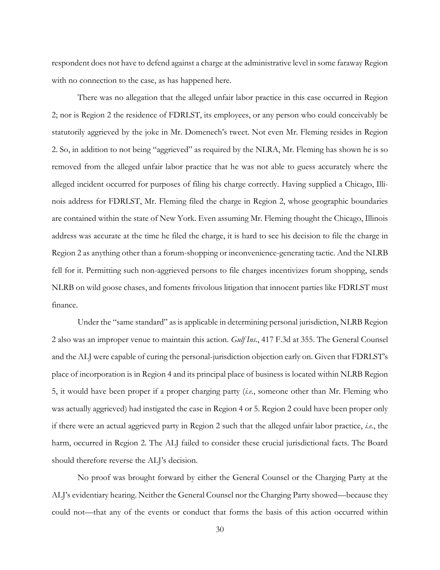respondent does not have to defend against a charge at the administrative level in some faraway Region with no connection to the case, as has happened here.

There was no allegation that the alleged unfair labor practice in this case occurred in Region 2; nor is Region 2 the residence of FDRLST, its employees, or any person who could conceivably be statutorily aggrieved by the joke in Mr. Domenech's tweet. Not even Mr. Fleming resides in Region 2. So, in addition to not being "aggrieved" as required by the NLRA, Mr. Fleming has shown he is so removed from the alleged unfair labor practice that he was not able to guess accurately where the alleged incident occurred for purposes of filing his charge correctly. Having supplied a Chicago, Illinois address for FDRLST, Mr. Fleming filed the charge in Region 2, whose geographic boundaries are contained within the state of New York. Even assuming Mr. Fleming thought the Chicago, Illinois address was accurate at the time he filed the charge, it is hard to see his decision to file the charge in Region 2 as anything other than a forum-shopping or inconvenience-generating tactic. And the NLRB fell for it. Permitting such non-aggrieved persons to file charges incentivizes forum shopping, sends NLRB on wild goose chases, and foments frivolous litigation that innocent parties like FDRLST must finance.

Under the "same standard" as is applicable in determining personal jurisdiction, NLRB Region 2 also was an improper venue to maintain this action. *Gulf Ins.*, 417 F.3d at 355. The General Counsel and the ALJ were capable of curing the personal-jurisdiction objection early on. Given that FDRLST's place of incorporation is in Region 4 and its principal place of business is located within NLRB Region 5, it would have been proper if a proper charging party (*i.e.*, someone other than Mr. Fleming who was actually aggrieved) had instigated the case in Region 4 or 5. Region 2 could have been proper only if there were an actual aggrieved party in Region 2 such that the alleged unfair labor practice, *i.e.*, the harm, occurred in Region 2. The ALJ failed to consider these crucial jurisdictional facts. The Board should therefore reverse the ALJ's decision.

No proof was brought forward by either the General Counsel or the Charging Party at the ALJ's evidentiary hearing. Neither the General Counsel nor the Charging Party showed—because they could not—that any of the events or conduct that forms the basis of this action occurred within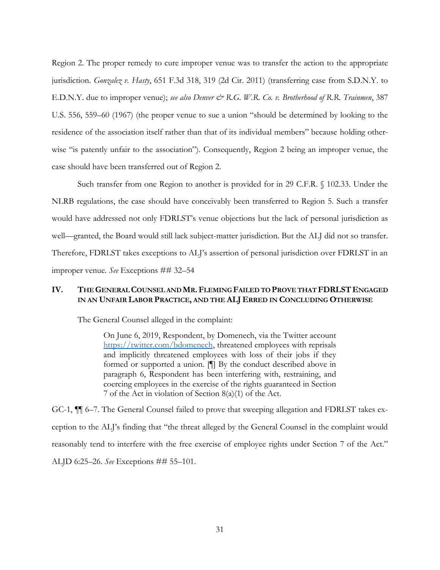Region 2. The proper remedy to cure improper venue was to transfer the action to the appropriate jurisdiction. *Gonzalez v. Hasty*, 651 F.3d 318, 319 (2d Cir. 2011) (transferring case from S.D.N.Y. to E.D.N.Y. due to improper venue); *see also Denver &* R.G. W.R. Co. v. Brotherhood of R.R. Trainmen, 387 U.S. 556, 559–60 (1967) (the proper venue to sue a union "should be determined by looking to the residence of the association itself rather than that of its individual members" because holding otherwise "is patently unfair to the association"). Consequently, Region 2 being an improper venue, the case should have been transferred out of Region 2.

Such transfer from one Region to another is provided for in 29 C.F.R. § 102.33. Under the NLRB regulations, the case should have conceivably been transferred to Region 5. Such a transfer would have addressed not only FDRLST's venue objections but the lack of personal jurisdiction as well—granted, the Board would still lack subject-matter jurisdiction. But the ALJ did not so transfer. Therefore, FDRLST takes exceptions to ALJ's assertion of personal jurisdiction over FDRLST in an improper venue. *See* Exceptions ## 32–54

## **IV. THE GENERAL COUNSEL AND MR.FLEMING FAILED TO PROVE THAT FDRLSTENGAGED IN AN UNFAIR LABOR PRACTICE, AND THE ALJ ERRED IN CONCLUDING OTHERWISE**

The General Counsel alleged in the complaint:

On June 6, 2019, Respondent, by Domenech, via the Twitter account https://twitter.com/bdomenech, threatened employees with reprisals and implicitly threatened employees with loss of their jobs if they formed or supported a union. [¶] By the conduct described above in paragraph 6, Respondent has been interfering with, restraining, and coercing employees in the exercise of the rights guaranteed in Section 7 of the Act in violation of Section 8(a)(1) of the Act.

GC-1, ¶¶ 6–7. The General Counsel failed to prove that sweeping allegation and FDRLST takes exception to the ALJ's finding that "the threat alleged by the General Counsel in the complaint would reasonably tend to interfere with the free exercise of employee rights under Section 7 of the Act." ALJD 6:25–26. *See* Exceptions ## 55–101.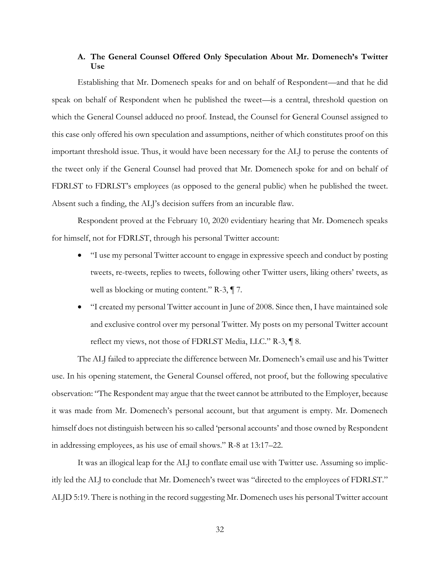## **A. The General Counsel Offered Only Speculation About Mr. Domenech's Twitter Use**

Establishing that Mr. Domenech speaks for and on behalf of Respondent—and that he did speak on behalf of Respondent when he published the tweet—is a central, threshold question on which the General Counsel adduced no proof. Instead, the Counsel for General Counsel assigned to this case only offered his own speculation and assumptions, neither of which constitutes proof on this important threshold issue. Thus, it would have been necessary for the ALJ to peruse the contents of the tweet only if the General Counsel had proved that Mr. Domenech spoke for and on behalf of FDRLST to FDRLST's employees (as opposed to the general public) when he published the tweet. Absent such a finding, the ALJ's decision suffers from an incurable flaw.

Respondent proved at the February 10, 2020 evidentiary hearing that Mr. Domenech speaks for himself, not for FDRLST, through his personal Twitter account:

- "I use my personal Twitter account to engage in expressive speech and conduct by posting tweets, re-tweets, replies to tweets, following other Twitter users, liking others' tweets, as well as blocking or muting content." R-3,  $\P$  7.
- "I created my personal Twitter account in June of 2008. Since then, I have maintained sole and exclusive control over my personal Twitter. My posts on my personal Twitter account reflect my views, not those of FDRLST Media, LLC." R-3, ¶ 8.

The ALJ failed to appreciate the difference between Mr. Domenech's email use and his Twitter use. In his opening statement, the General Counsel offered, not proof, but the following speculative observation: "The Respondent may argue that the tweet cannot be attributed to the Employer, because it was made from Mr. Domenech's personal account, but that argument is empty. Mr. Domenech himself does not distinguish between his so called 'personal accounts' and those owned by Respondent in addressing employees, as his use of email shows." R-8 at 13:17–22.

It was an illogical leap for the ALJ to conflate email use with Twitter use. Assuming so implicitly led the ALJ to conclude that Mr. Domenech's tweet was "directed to the employees of FDRLST." ALJD 5:19. There is nothing in the record suggesting Mr. Domenech uses his personal Twitter account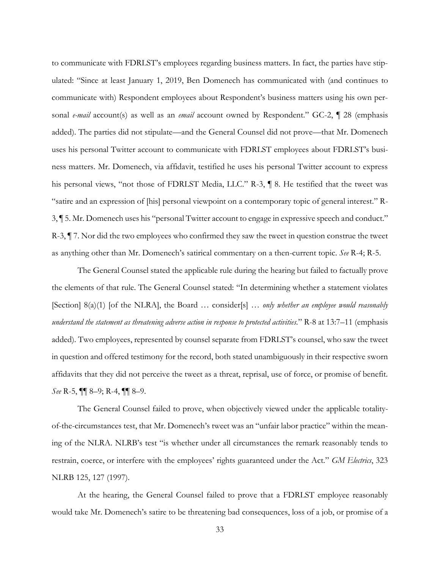to communicate with FDRLST's employees regarding business matters. In fact, the parties have stipulated: "Since at least January 1, 2019, Ben Domenech has communicated with (and continues to communicate with) Respondent employees about Respondent's business matters using his own personal *e-mail* account(s) as well as an *email* account owned by Respondent." GC-2, ¶ 28 (emphasis added). The parties did not stipulate—and the General Counsel did not prove—that Mr. Domenech uses his personal Twitter account to communicate with FDRLST employees about FDRLST's business matters. Mr. Domenech, via affidavit, testified he uses his personal Twitter account to express his personal views, "not those of FDRLST Media, LLC." R-3, ¶ 8. He testified that the tweet was "satire and an expression of [his] personal viewpoint on a contemporary topic of general interest." R-3, ¶ 5. Mr. Domenech uses his "personal Twitter account to engage in expressive speech and conduct." R-3, ¶ 7. Nor did the two employees who confirmed they saw the tweet in question construe the tweet as anything other than Mr. Domenech's satirical commentary on a then-current topic. *See* R-4; R-5.

The General Counsel stated the applicable rule during the hearing but failed to factually prove the elements of that rule. The General Counsel stated: "In determining whether a statement violates [Section] 8(a)(1) [of the NLRA], the Board ... consider[s] ... *only whether an employee would reasonably understand the statement as threatening adverse action in response to protected activities.*" R-8 at 13:7–11 (emphasis added). Two employees, represented by counsel separate from FDRLST's counsel, who saw the tweet in question and offered testimony for the record, both stated unambiguously in their respective sworn affidavits that they did not perceive the tweet as a threat, reprisal, use of force, or promise of benefit. *See* R-5, ¶¶ 8–9; R-4, ¶¶ 8–9.

The General Counsel failed to prove, when objectively viewed under the applicable totalityof-the-circumstances test, that Mr. Domenech's tweet was an "unfair labor practice" within the meaning of the NLRA. NLRB's test "is whether under all circumstances the remark reasonably tends to restrain, coerce, or interfere with the employees' rights guaranteed under the Act." *GM Electrics*, 323 NLRB 125, 127 (1997).

At the hearing, the General Counsel failed to prove that a FDRLST employee reasonably would take Mr. Domenech's satire to be threatening bad consequences, loss of a job, or promise of a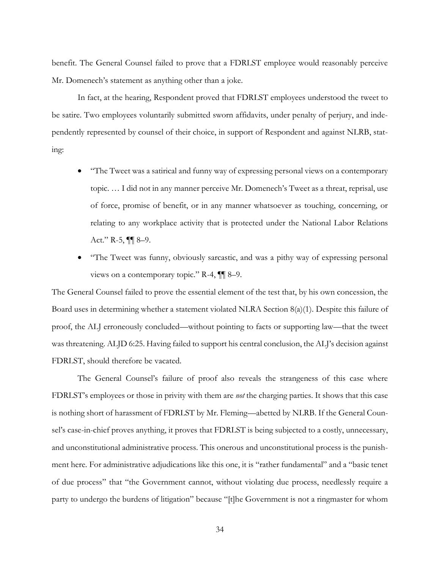benefit. The General Counsel failed to prove that a FDRLST employee would reasonably perceive Mr. Domenech's statement as anything other than a joke.

In fact, at the hearing, Respondent proved that FDRLST employees understood the tweet to be satire. Two employees voluntarily submitted sworn affidavits, under penalty of perjury, and independently represented by counsel of their choice, in support of Respondent and against NLRB, stating:

- "The Tweet was a satirical and funny way of expressing personal views on a contemporary topic. … I did not in any manner perceive Mr. Domenech's Tweet as a threat, reprisal, use of force, promise of benefit, or in any manner whatsoever as touching, concerning, or relating to any workplace activity that is protected under the National Labor Relations Act." R-5,  $\P\P$  8-9.
- "The Tweet was funny, obviously sarcastic, and was a pithy way of expressing personal views on a contemporary topic." R-4, ¶¶ 8–9.

The General Counsel failed to prove the essential element of the test that, by his own concession, the Board uses in determining whether a statement violated NLRA Section 8(a)(1). Despite this failure of proof, the ALJ erroneously concluded—without pointing to facts or supporting law—that the tweet was threatening. ALJD 6:25. Having failed to support his central conclusion, the ALJ's decision against FDRLST, should therefore be vacated.

The General Counsel's failure of proof also reveals the strangeness of this case where FDRLST's employees or those in privity with them are *not* the charging parties. It shows that this case is nothing short of harassment of FDRLST by Mr. Fleming—abetted by NLRB. If the General Counsel's case-in-chief proves anything, it proves that FDRLST is being subjected to a costly, unnecessary, and unconstitutional administrative process. This onerous and unconstitutional process is the punishment here. For administrative adjudications like this one, it is "rather fundamental" and a "basic tenet of due process" that "the Government cannot, without violating due process, needlessly require a party to undergo the burdens of litigation" because "[t]he Government is not a ringmaster for whom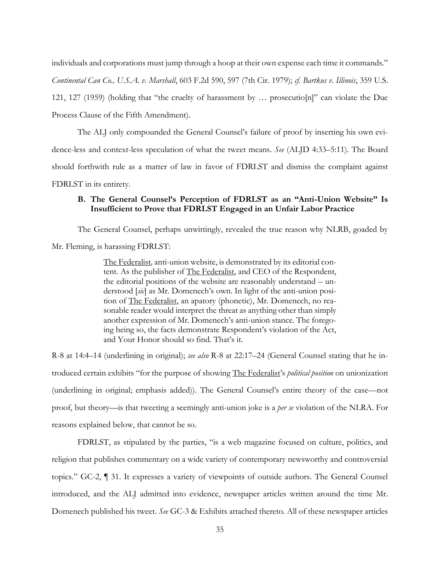individuals and corporations must jump through a hoop at their own expense each time it commands." *Continental Can Co., U.S.A. v. Marshall*, 603 F.2d 590, 597 (7th Cir. 1979); *cf. Bartkus v. Illinois*, 359 U.S. 121, 127 (1959) (holding that "the cruelty of harassment by … prosecutio[n]" can violate the Due Process Clause of the Fifth Amendment).

The ALJ only compounded the General Counsel's failure of proof by inserting his own evidence-less and context-less speculation of what the tweet means. *See* (ALJD 4:33–5:11). The Board should forthwith rule as a matter of law in favor of FDRLST and dismiss the complaint against FDRLST in its entirety.

## **B. The General Counsel's Perception of FDRLST as an "Anti-Union Website" Is Insufficient to Prove that FDRLST Engaged in an Unfair Labor Practice**

The General Counsel, perhaps unwittingly, revealed the true reason why NLRB, goaded by Mr. Fleming, is harassing FDRLST:

> The Federalist*,* anti-union website, is demonstrated by its editorial content. As the publisher of The Federalist, and CEO of the Respondent, the editorial positions of the website are reasonably understand – understood [*sic*] as Mr. Domenech's own. In light of the anti-union position of The Federalist, an apatory (phonetic), Mr. Domenech, no reasonable reader would interpret the threat as anything other than simply another expression of Mr. Domenech's anti-union stance. The foregoing being so, the facts demonstrate Respondent's violation of the Act, and Your Honor should so find. That's it.

R-8 at 14:4–14 (underlining in original); *see also* R-8 at 22:17–24 (General Counsel stating that he introduced certain exhibits "for the purpose of showing The Federalist's *political position* on unionization (underlining in original; emphasis added)). The General Counsel's entire theory of the case—not proof, but theory—is that tweeting a seemingly anti-union joke is a *per se* violation of the NLRA. For reasons explained below, that cannot be so.

FDRLST, as stipulated by the parties, "is a web magazine focused on culture, politics, and religion that publishes commentary on a wide variety of contemporary newsworthy and controversial topics." GC-2, ¶ 31. It expresses a variety of viewpoints of outside authors. The General Counsel introduced, and the ALJ admitted into evidence, newspaper articles written around the time Mr. Domenech published his tweet. *See* GC-3 & Exhibits attached thereto. All of these newspaper articles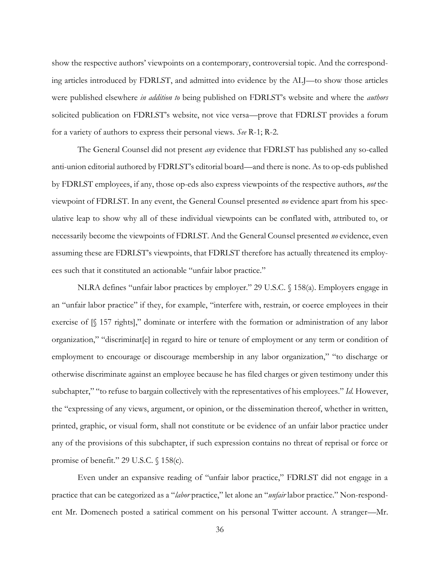show the respective authors' viewpoints on a contemporary, controversial topic. And the corresponding articles introduced by FDRLST, and admitted into evidence by the ALJ—to show those articles were published elsewhere *in addition to* being published on FDRLST's website and where the *authors* solicited publication on FDRLST's website, not vice versa—prove that FDRLST provides a forum for a variety of authors to express their personal views. *See* R-1; R-2.

The General Counsel did not present *any* evidence that FDRLST has published any so-called anti-union editorial authored by FDRLST's editorial board—and there is none. As to op-eds published by FDRLST employees, if any, those op-eds also express viewpoints of the respective authors, *not* the viewpoint of FDRLST. In any event, the General Counsel presented *no* evidence apart from his speculative leap to show why all of these individual viewpoints can be conflated with, attributed to, or necessarily become the viewpoints of FDRLST. And the General Counsel presented *no* evidence, even assuming these are FDRLST's viewpoints, that FDRLST therefore has actually threatened its employees such that it constituted an actionable "unfair labor practice."

NLRA defines "unfair labor practices by employer." 29 U.S.C. § 158(a). Employers engage in an "unfair labor practice" if they, for example, "interfere with, restrain, or coerce employees in their exercise of [§ 157 rights]," dominate or interfere with the formation or administration of any labor organization," "discriminat[e] in regard to hire or tenure of employment or any term or condition of employment to encourage or discourage membership in any labor organization," "to discharge or otherwise discriminate against an employee because he has filed charges or given testimony under this subchapter," "to refuse to bargain collectively with the representatives of his employees." *Id.* However, the "expressing of any views, argument, or opinion, or the dissemination thereof, whether in written, printed, graphic, or visual form, shall not constitute or be evidence of an unfair labor practice under any of the provisions of this subchapter, if such expression contains no threat of reprisal or force or promise of benefit." 29 U.S.C. § 158(c).

Even under an expansive reading of "unfair labor practice," FDRLST did not engage in a practice that can be categorized as a "*labor* practice," let alone an "*unfair* labor practice." Non-respondent Mr. Domenech posted a satirical comment on his personal Twitter account. A stranger—Mr.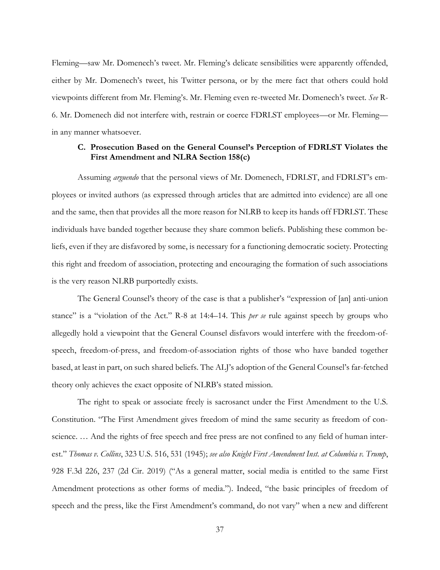Fleming—saw Mr. Domenech's tweet. Mr. Fleming's delicate sensibilities were apparently offended, either by Mr. Domenech's tweet, his Twitter persona, or by the mere fact that others could hold viewpoints different from Mr. Fleming's. Mr. Fleming even re-tweeted Mr. Domenech's tweet. *See* R-6. Mr. Domenech did not interfere with, restrain or coerce FDRLST employees—or Mr. Fleming in any manner whatsoever.

## **C. Prosecution Based on the General Counsel's Perception of FDRLST Violates the First Amendment and NLRA Section 158(c)**

Assuming *arguendo* that the personal views of Mr. Domenech, FDRLST, and FDRLST's employees or invited authors (as expressed through articles that are admitted into evidence) are all one and the same, then that provides all the more reason for NLRB to keep its hands off FDRLST. These individuals have banded together because they share common beliefs. Publishing these common beliefs, even if they are disfavored by some, is necessary for a functioning democratic society. Protecting this right and freedom of association, protecting and encouraging the formation of such associations is the very reason NLRB purportedly exists.

The General Counsel's theory of the case is that a publisher's "expression of [an] anti-union stance" is a "violation of the Act." R-8 at 14:4–14. This *per se* rule against speech by groups who allegedly hold a viewpoint that the General Counsel disfavors would interfere with the freedom-ofspeech, freedom-of-press, and freedom-of-association rights of those who have banded together based, at least in part, on such shared beliefs. The ALJ's adoption of the General Counsel's far-fetched theory only achieves the exact opposite of NLRB's stated mission.

The right to speak or associate freely is sacrosanct under the First Amendment to the U.S. Constitution. "The First Amendment gives freedom of mind the same security as freedom of conscience. … And the rights of free speech and free press are not confined to any field of human interest." *Thomas v. Collins*, 323 U.S. 516, 531 (1945); *see also Knight First Amendment Inst. at Columbia v. Trump*, 928 F.3d 226, 237 (2d Cir. 2019) ("As a general matter, social media is entitled to the same First Amendment protections as other forms of media."). Indeed, "the basic principles of freedom of speech and the press, like the First Amendment's command, do not vary" when a new and different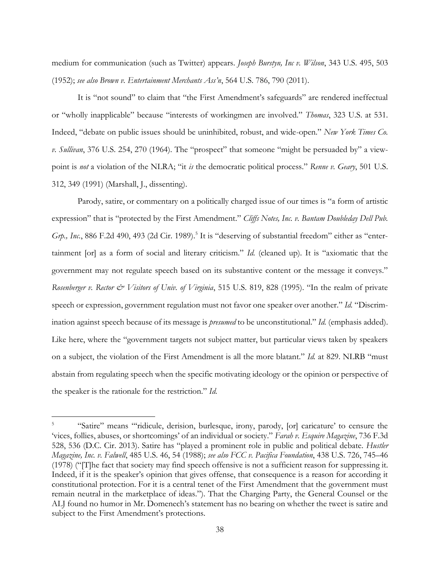medium for communication (such as Twitter) appears. *Joseph Burstyn, Inc v. Wilson*, 343 U.S. 495, 503 (1952); *see also Brown v. Entertainment Merchants Ass'n*, 564 U.S. 786, 790 (2011).

It is "not sound" to claim that "the First Amendment's safeguards" are rendered ineffectual or "wholly inapplicable" because "interests of workingmen are involved." *Thomas*, 323 U.S. at 531. Indeed, "debate on public issues should be uninhibited, robust, and wide-open." *New York Times Co. v. Sullivan*, 376 U.S. 254, 270 (1964). The "prospect" that someone "might be persuaded by" a viewpoint is *not* a violation of the NLRA; "it *is* the democratic political process." *Renne v. Geary*, 501 U.S. 312, 349 (1991) (Marshall, J., dissenting).

Parody, satire, or commentary on a politically charged issue of our times is "a form of artistic expression" that is "protected by the First Amendment." *Cliffs Notes, Inc. v. Bantam Doubleday Dell Pub.*  Grp., Inc., 886 F.2d 490, 493 (2d Cir. 1989).<sup>5</sup> It is "deserving of substantial freedom" either as "entertainment [or] as a form of social and literary criticism." *Id.* (cleaned up). It is "axiomatic that the government may not regulate speech based on its substantive content or the message it conveys." *Rosenberger v. Rector & Visitors of Univ. of Virginia*, 515 U.S. 819, 828 (1995). "In the realm of private speech or expression, government regulation must not favor one speaker over another." *Id.* "Discrimination against speech because of its message is *presumed* to be unconstitutional." *Id.* (emphasis added). Like here, where the "government targets not subject matter, but particular views taken by speakers on a subject, the violation of the First Amendment is all the more blatant." *Id.* at 829. NLRB "must abstain from regulating speech when the specific motivating ideology or the opinion or perspective of the speaker is the rationale for the restriction." *Id.*

<sup>5</sup> "Satire" means "'ridicule, derision, burlesque, irony, parody, [or] caricature' to censure the 'vices, follies, abuses, or shortcomings' of an individual or society." *Farah v. Esquire Magazine*, 736 F.3d 528, 536 (D.C. Cir. 2013). Satire has "played a prominent role in public and political debate. *Hustler Magazine, Inc. v. Falwell*, 485 U.S. 46, 54 (1988); *see also FCC v. Pacifica Foundation*, 438 U.S. 726, 745–46 (1978) ("[T]he fact that society may find speech offensive is not a sufficient reason for suppressing it. Indeed, if it is the speaker's opinion that gives offense, that consequence is a reason for according it constitutional protection. For it is a central tenet of the First Amendment that the government must remain neutral in the marketplace of ideas."). That the Charging Party, the General Counsel or the ALJ found no humor in Mr. Domenech's statement has no bearing on whether the tweet is satire and subject to the First Amendment's protections.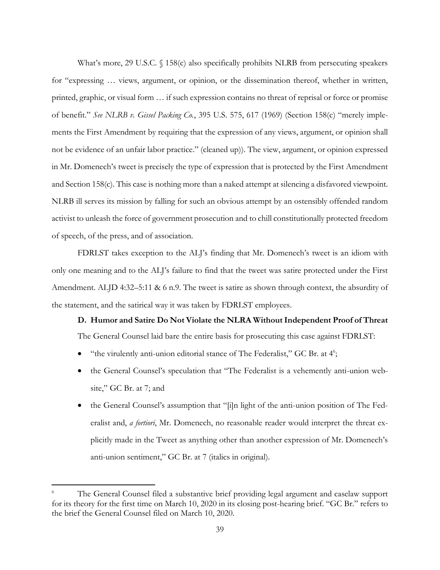What's more, 29 U.S.C. § 158(c) also specifically prohibits NLRB from persecuting speakers for "expressing … views, argument, or opinion, or the dissemination thereof, whether in written, printed, graphic, or visual form … if such expression contains no threat of reprisal or force or promise of benefit." *See NLRB v. Gissel Packing Co.*, 395 U.S. 575, 617 (1969) (Section 158(c) "merely implements the First Amendment by requiring that the expression of any views, argument, or opinion shall not be evidence of an unfair labor practice." (cleaned up)). The view, argument, or opinion expressed in Mr. Domenech's tweet is precisely the type of expression that is protected by the First Amendment and Section 158(c). This case is nothing more than a naked attempt at silencing a disfavored viewpoint. NLRB ill serves its mission by falling for such an obvious attempt by an ostensibly offended random activist to unleash the force of government prosecution and to chill constitutionally protected freedom of speech, of the press, and of association.

FDRLST takes exception to the ALJ's finding that Mr. Domenech's tweet is an idiom with only one meaning and to the ALJ's failure to find that the tweet was satire protected under the First Amendment. ALJD 4:32–5:11 & 6 n.9. The tweet is satire as shown through context, the absurdity of the statement, and the satirical way it was taken by FDRLST employees.

## **D. Humor and Satire Do Not Violate the NLRA Without Independent Proof of Threat**

The General Counsel laid bare the entire basis for prosecuting this case against FDRLST:

- "the virulently anti-union editorial stance of The Federalist," GC Br. at 4<sup>6</sup>;
- the General Counsel's speculation that "The Federalist is a vehemently anti-union website," GC Br. at 7; and
- the General Counsel's assumption that "[i]n light of the anti-union position of The Federalist and, *a fortiori*, Mr. Domenech, no reasonable reader would interpret the threat explicitly made in the Tweet as anything other than another expression of Mr. Domenech's anti-union sentiment," GC Br. at 7 (italics in original).

The General Counsel filed a substantive brief providing legal argument and caselaw support for its theory for the first time on March 10, 2020 in its closing post-hearing brief. "GC Br." refers to the brief the General Counsel filed on March 10, 2020.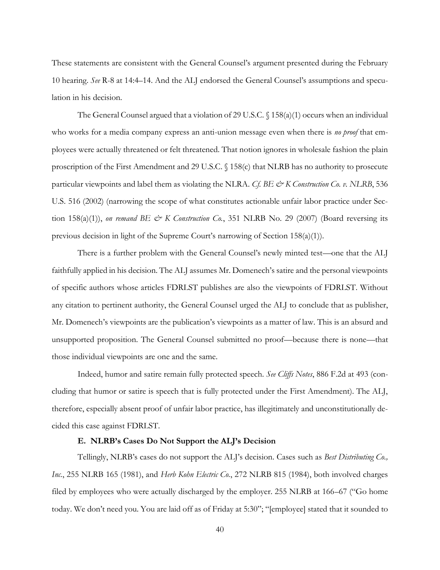These statements are consistent with the General Counsel's argument presented during the February 10 hearing. *See* R-8 at 14:4–14. And the ALJ endorsed the General Counsel's assumptions and speculation in his decision.

The General Counsel argued that a violation of 29 U.S.C.  $\binom{158(a)(1)}{100}$  occurs when an individual who works for a media company express an anti-union message even when there is *no proof* that employees were actually threatened or felt threatened. That notion ignores in wholesale fashion the plain proscription of the First Amendment and 29 U.S.C. § 158(c) that NLRB has no authority to prosecute particular viewpoints and label them as violating the NLRA. *Cf. BE & K Construction Co. v. NLRB*, 536 U.S. 516 (2002) (narrowing the scope of what constitutes actionable unfair labor practice under Section 158(a)(1)), *on remand BE*  $\mathcal O$  *K Construction Co.*, 351 NLRB No. 29 (2007) (Board reversing its previous decision in light of the Supreme Court's narrowing of Section 158(a)(1)).

There is a further problem with the General Counsel's newly minted test—one that the ALJ faithfully applied in his decision. The ALJ assumes Mr. Domenech's satire and the personal viewpoints of specific authors whose articles FDRLST publishes are also the viewpoints of FDRLST. Without any citation to pertinent authority, the General Counsel urged the ALJ to conclude that as publisher, Mr. Domenech's viewpoints are the publication's viewpoints as a matter of law. This is an absurd and unsupported proposition. The General Counsel submitted no proof—because there is none—that those individual viewpoints are one and the same.

Indeed, humor and satire remain fully protected speech. *See Cliffs Notes*, 886 F.2d at 493 (concluding that humor or satire is speech that is fully protected under the First Amendment). The ALJ, therefore, especially absent proof of unfair labor practice, has illegitimately and unconstitutionally decided this case against FDRLST.

#### **E. NLRB's Cases Do Not Support the ALJ's Decision**

Tellingly, NLRB's cases do not support the ALJ's decision. Cases such as *Best Distributing Co., Inc.*, 255 NLRB 165 (1981), and *Herb Kohn Electric Co.*, 272 NLRB 815 (1984), both involved charges filed by employees who were actually discharged by the employer. 255 NLRB at 166–67 ("Go home today. We don't need you. You are laid off as of Friday at 5:30"; "[employee] stated that it sounded to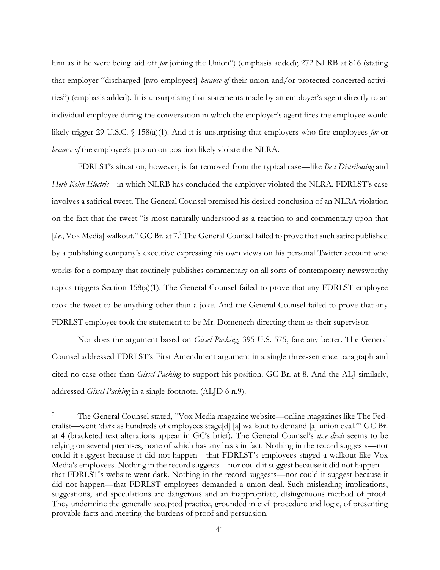him as if he were being laid off *for* joining the Union") (emphasis added); 272 NLRB at 816 (stating that employer "discharged [two employees] *because of* their union and/or protected concerted activities") (emphasis added). It is unsurprising that statements made by an employer's agent directly to an individual employee during the conversation in which the employer's agent fires the employee would likely trigger 29 U.S.C. § 158(a)(1). And it is unsurprising that employers who fire employees *for* or *because of* the employee's pro-union position likely violate the NLRA.

FDRLST's situation, however, is far removed from the typical case—like *Best Distributing* and *Herb Kohn Electric*—in which NLRB has concluded the employer violated the NLRA. FDRLST's case involves a satirical tweet. The General Counsel premised his desired conclusion of an NLRA violation on the fact that the tweet "is most naturally understood as a reaction to and commentary upon that [*i.e.*, Vox Media] walkout." GC Br. at 7.<sup>7</sup> The General Counsel failed to prove that such satire published by a publishing company's executive expressing his own views on his personal Twitter account who works for a company that routinely publishes commentary on all sorts of contemporary newsworthy topics triggers Section 158(a)(1). The General Counsel failed to prove that any FDRLST employee took the tweet to be anything other than a joke. And the General Counsel failed to prove that any FDRLST employee took the statement to be Mr. Domenech directing them as their supervisor.

Nor does the argument based on *Gissel Packing*, 395 U.S. 575, fare any better. The General Counsel addressed FDRLST's First Amendment argument in a single three-sentence paragraph and cited no case other than *Gissel Packing* to support his position. GC Br. at 8. And the ALJ similarly, addressed *Gissel Packing* in a single footnote. (ALJD 6 n.9).

<sup>7</sup> The General Counsel stated, "Vox Media magazine website—online magazines like The Federalist—went 'dark as hundreds of employees stage[d] [a] walkout to demand [a] union deal.'" GC Br. at 4 (bracketed text alterations appear in GC's brief). The General Counsel's *ipse dixit* seems to be relying on several premises, none of which has any basis in fact. Nothing in the record suggests—nor could it suggest because it did not happen—that FDRLST's employees staged a walkout like Vox Media's employees. Nothing in the record suggests—nor could it suggest because it did not happen that FDRLST's website went dark. Nothing in the record suggests—nor could it suggest because it did not happen—that FDRLST employees demanded a union deal. Such misleading implications, suggestions, and speculations are dangerous and an inappropriate, disingenuous method of proof. They undermine the generally accepted practice, grounded in civil procedure and logic, of presenting provable facts and meeting the burdens of proof and persuasion.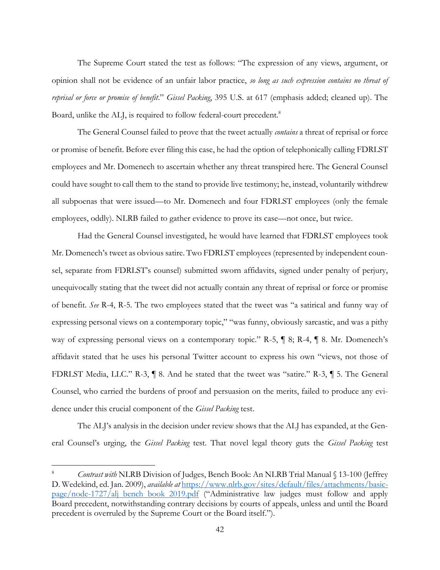The Supreme Court stated the test as follows: "The expression of any views, argument, or opinion shall not be evidence of an unfair labor practice, *so long as such expression contains no threat of reprisal or force or promise of benefit*." *Gissel Packing*, 395 U.S. at 617 (emphasis added; cleaned up). The Board, unlike the ALJ, is required to follow federal-court precedent.<sup>8</sup>

The General Counsel failed to prove that the tweet actually *contains* a threat of reprisal or force or promise of benefit. Before ever filing this case, he had the option of telephonically calling FDRLST employees and Mr. Domenech to ascertain whether any threat transpired here. The General Counsel could have sought to call them to the stand to provide live testimony; he, instead, voluntarily withdrew all subpoenas that were issued—to Mr. Domenech and four FDRLST employees (only the female employees, oddly). NLRB failed to gather evidence to prove its case—not once, but twice.

Had the General Counsel investigated, he would have learned that FDRLST employees took Mr. Domenech's tweet as obvious satire. Two FDRLST employees (represented by independent counsel, separate from FDRLST's counsel) submitted sworn affidavits, signed under penalty of perjury, unequivocally stating that the tweet did not actually contain any threat of reprisal or force or promise of benefit. *See* R-4, R-5. The two employees stated that the tweet was "a satirical and funny way of expressing personal views on a contemporary topic," "was funny, obviously sarcastic, and was a pithy way of expressing personal views on a contemporary topic." R-5,  $\parallel$  8; R-4,  $\parallel$  8. Mr. Domenech's affidavit stated that he uses his personal Twitter account to express his own "views, not those of FDRLST Media, LLC." R-3, ¶ 8. And he stated that the tweet was "satire." R-3, ¶ 5. The General Counsel, who carried the burdens of proof and persuasion on the merits, failed to produce any evidence under this crucial component of the *Gissel Packing* test.

The ALJ's analysis in the decision under review shows that the ALJ has expanded, at the General Counsel's urging, the *Gissel Packing* test. That novel legal theory guts the *Gissel Packing* test

<sup>8</sup> *Contrast with* NLRB Division of Judges, Bench Book: An NLRB Trial Manual § 13-100 (Jeffrey D. Wedekind, ed. Jan. 2009), *available at* https://www.nlrb.gov/sites/default/files/attachments/basicpage/node-1727/alj bench book 2019.pdf ("Administrative law judges must follow and apply Board precedent, notwithstanding contrary decisions by courts of appeals, unless and until the Board precedent is overruled by the Supreme Court or the Board itself.").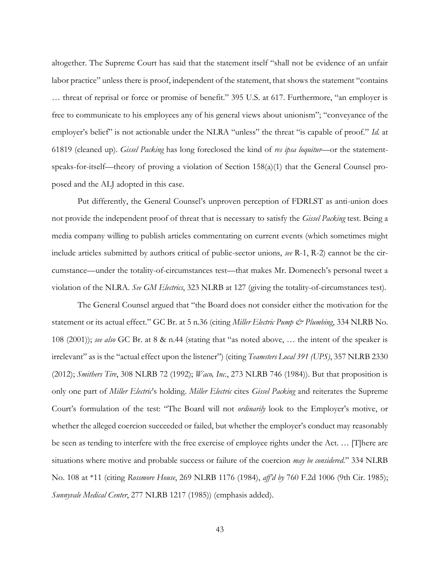altogether. The Supreme Court has said that the statement itself "shall not be evidence of an unfair labor practice" unless there is proof, independent of the statement, that shows the statement "contains … threat of reprisal or force or promise of benefit." 395 U.S. at 617. Furthermore, "an employer is free to communicate to his employees any of his general views about unionism"; "conveyance of the employer's belief" is not actionable under the NLRA "unless" the threat "is capable of proof." *Id.* at 61819 (cleaned up). *Gissel Packing* has long foreclosed the kind of *res ipsa loquitur*—or the statementspeaks-for-itself—theory of proving a violation of Section 158(a)(1) that the General Counsel proposed and the ALJ adopted in this case.

Put differently, the General Counsel's unproven perception of FDRLST as anti-union does not provide the independent proof of threat that is necessary to satisfy the *Gissel Packing* test. Being a media company willing to publish articles commentating on current events (which sometimes might include articles submitted by authors critical of public-sector unions, *see* R-1, R-2) cannot be the circumstance—under the totality-of-circumstances test—that makes Mr. Domenech's personal tweet a violation of the NLRA. *See GM Electrics*, 323 NLRB at 127 (giving the totality-of-circumstances test).

The General Counsel argued that "the Board does not consider either the motivation for the statement or its actual effect." GC Br. at 5 n.36 (citing *Miller Electric Pump & Plumbing*, 334 NLRB No. 108 (2001)); *see also* GC Br. at 8 & n.44 (stating that "as noted above, … the intent of the speaker is irrelevant" as is the "actual effect upon the listener") (citing *Teamsters Local 391 (UPS)*, 357 NLRB 2330 (2012); *Smithers Tire*, 308 NLRB 72 (1992); *Waco, Inc.*, 273 NLRB 746 (1984)). But that proposition is only one part of *Miller Electric*'s holding. *Miller Electric* cites *Gissel Packing* and reiterates the Supreme Court's formulation of the test: "The Board will not *ordinarily* look to the Employer's motive, or whether the alleged coercion succeeded or failed, but whether the employer's conduct may reasonably be seen as tending to interfere with the free exercise of employee rights under the Act. … [T]here are situations where motive and probable success or failure of the coercion *may be considered*." 334 NLRB No. 108 at \*11 (citing *Rossmore House*, 269 NLRB 1176 (1984), *aff'd by* 760 F.2d 1006 (9th Cir. 1985); *Sunnyvale Medical Center*, 277 NLRB 1217 (1985)) (emphasis added).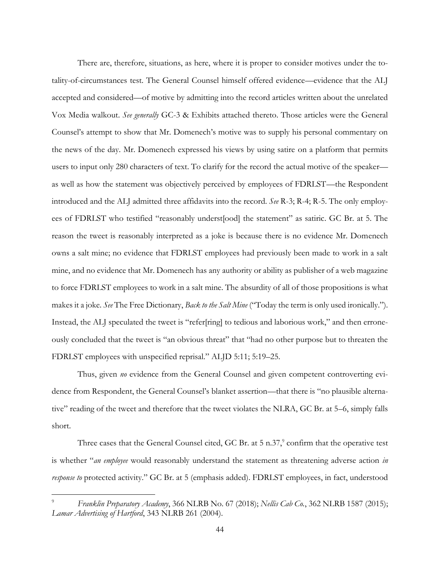There are, therefore, situations, as here, where it is proper to consider motives under the totality-of-circumstances test. The General Counsel himself offered evidence—evidence that the ALJ accepted and considered—of motive by admitting into the record articles written about the unrelated Vox Media walkout. *See generally* GC-3 & Exhibits attached thereto. Those articles were the General Counsel's attempt to show that Mr. Domenech's motive was to supply his personal commentary on the news of the day. Mr. Domenech expressed his views by using satire on a platform that permits users to input only 280 characters of text. To clarify for the record the actual motive of the speaker as well as how the statement was objectively perceived by employees of FDRLST—the Respondent introduced and the ALJ admitted three affidavits into the record. *See* R-3; R-4; R-5. The only employees of FDRLST who testified "reasonably underst[ood] the statement" as satiric. GC Br. at 5. The reason the tweet is reasonably interpreted as a joke is because there is no evidence Mr. Domenech owns a salt mine; no evidence that FDRLST employees had previously been made to work in a salt mine, and no evidence that Mr. Domenech has any authority or ability as publisher of a web magazine to force FDRLST employees to work in a salt mine. The absurdity of all of those propositions is what makes it a joke. *See* The Free Dictionary, *Back to the Salt Mine* ("Today the term is only used ironically."). Instead, the ALJ speculated the tweet is "refer[ring] to tedious and laborious work," and then erroneously concluded that the tweet is "an obvious threat" that "had no other purpose but to threaten the FDRLST employees with unspecified reprisal." ALJD 5:11; 5:19–25.

Thus, given *no* evidence from the General Counsel and given competent controverting evidence from Respondent, the General Counsel's blanket assertion—that there is "no plausible alternative" reading of the tweet and therefore that the tweet violates the NLRA, GC Br. at 5–6, simply falls short.

Three cases that the General Counsel cited, GC Br. at  $5 \text{ n.37}$ , confirm that the operative test is whether "*an employee* would reasonably understand the statement as threatening adverse action *in response to* protected activity." GC Br. at 5 (emphasis added). FDRLST employees, in fact, understood

<sup>9</sup> *Franklin Preparatory Academy*, 366 NLRB No. 67 (2018); *Nellis Cab Co.*, 362 NLRB 1587 (2015); *Lamar Advertising of Hartford*, 343 NLRB 261 (2004).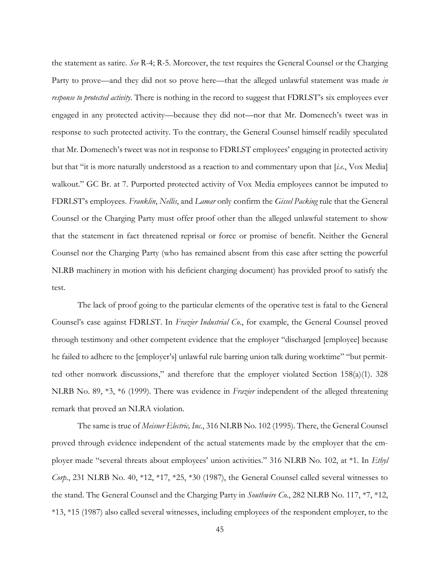the statement as satire. *See* R-4; R-5. Moreover, the test requires the General Counsel or the Charging Party to prove—and they did not so prove here—that the alleged unlawful statement was made *in response to protected activity*. There is nothing in the record to suggest that FDRLST's six employees ever engaged in any protected activity—because they did not—nor that Mr. Domenech's tweet was in response to such protected activity. To the contrary, the General Counsel himself readily speculated that Mr. Domenech's tweet was not in response to FDRLST employees' engaging in protected activity but that "it is more naturally understood as a reaction to and commentary upon that [*i.e.*, Vox Media] walkout." GC Br. at 7. Purported protected activity of Vox Media employees cannot be imputed to FDRLST's employees. *Franklin*, *Nellis*, and *Lamar* only confirm the *Gissel Packing* rule that the General Counsel or the Charging Party must offer proof other than the alleged unlawful statement to show that the statement in fact threatened reprisal or force or promise of benefit. Neither the General Counsel nor the Charging Party (who has remained absent from this case after setting the powerful NLRB machinery in motion with his deficient charging document) has provided proof to satisfy the test.

The lack of proof going to the particular elements of the operative test is fatal to the General Counsel's case against FDRLST. In *Frazier Industrial Co.*, for example, the General Counsel proved through testimony and other competent evidence that the employer "discharged [employee] because he failed to adhere to the [employer's] unlawful rule barring union talk during worktime" "but permitted other nonwork discussions," and therefore that the employer violated Section 158(a)(1). 328 NLRB No. 89, \*3, \*6 (1999). There was evidence in *Frazier* independent of the alleged threatening remark that proved an NLRA violation.

The same is true of *Meisner Electric, Inc.*, 316 NLRB No. 102 (1995). There, the General Counsel proved through evidence independent of the actual statements made by the employer that the employer made "several threats about employees' union activities." 316 NLRB No. 102, at \*1. In *Ethyl Corp.*, 231 NLRB No. 40, \*12, \*17, \*25, \*30 (1987), the General Counsel called several witnesses to the stand. The General Counsel and the Charging Party in *Southwire Co.*, 282 NLRB No. 117, \*7, \*12, \*13, \*15 (1987) also called several witnesses, including employees of the respondent employer, to the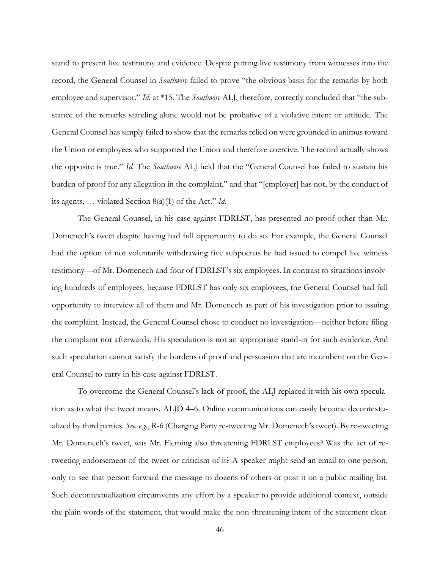stand to present live testimony and evidence. Despite putting live testimony from witnesses into the record, the General Counsel in *Southwire* failed to prove "the obvious basis for the remarks by both employee and supervisor." *Id.* at \*15. The *Southwire* ALJ, therefore, correctly concluded that "the substance of the remarks standing alone would not be probative of a violative intent or attitude. The General Counsel has simply failed to show that the remarks relied on were grounded in animus toward the Union or employees who supported the Union and therefore coercive. The record actually shows the opposite is true." *Id.* The *Southwire* ALJ held that the "General Counsel has failed to sustain his burden of proof for any allegation in the complaint," and that "[employer] has not, by the conduct of its agents, … violated Section 8(a)(1) of the Act." *Id.*

The General Counsel, in his case against FDRLST, has presented no proof other than Mr. Domenech's tweet despite having had full opportunity to do so. For example, the General Counsel had the option of not voluntarily withdrawing five subpoenas he had issued to compel live witness testimony—of Mr. Domenech and four of FDRLST's six employees. In contrast to situations involving hundreds of employees, because FDRLST has only six employees, the General Counsel had full opportunity to interview all of them and Mr. Domenech as part of his investigation prior to issuing the complaint. Instead, the General Counsel chose to conduct no investigation—neither before filing the complaint nor afterwards. His speculation is not an appropriate stand-in for such evidence. And such speculation cannot satisfy the burdens of proof and persuasion that are incumbent on the General Counsel to carry in his case against FDRLST.

To overcome the General Counsel's lack of proof, the ALJ replaced it with his own speculation as to what the tweet means. ALJD 4–6. Online communications can easily become decontextualized by third parties. *See, e.g.*, R-6 (Charging Party re-tweeting Mr. Domenech's tweet). By re-tweeting Mr. Domenech's tweet, was Mr. Fleming also threatening FDRLST employees? Was the act of retweeting endorsement of the tweet or criticism of it? A speaker might send an email to one person, only to see that person forward the message to dozens of others or post it on a public mailing list. Such decontextualization circumvents any effort by a speaker to provide additional context, outside the plain words of the statement, that would make the non-threatening intent of the statement clear.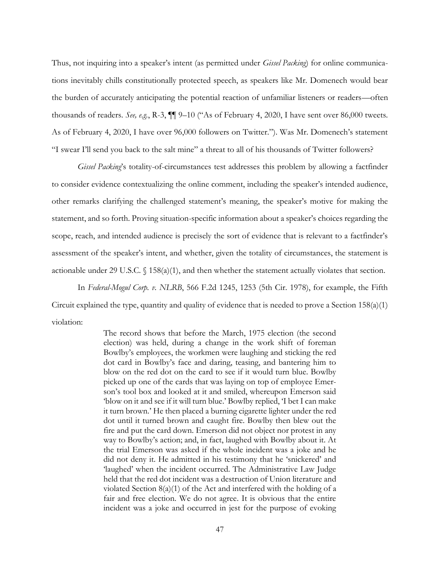Thus, not inquiring into a speaker's intent (as permitted under *Gissel Packing*) for online communications inevitably chills constitutionally protected speech, as speakers like Mr. Domenech would bear the burden of accurately anticipating the potential reaction of unfamiliar listeners or readers—often thousands of readers. *See, e.g.*, R-3, ¶¶ 9–10 ("As of February 4, 2020, I have sent over 86,000 tweets. As of February 4, 2020, I have over 96,000 followers on Twitter."). Was Mr. Domenech's statement "I swear I'll send you back to the salt mine" a threat to all of his thousands of Twitter followers?

*Gissel Packing*'s totality-of-circumstances test addresses this problem by allowing a factfinder to consider evidence contextualizing the online comment, including the speaker's intended audience, other remarks clarifying the challenged statement's meaning, the speaker's motive for making the statement, and so forth. Proving situation-specific information about a speaker's choices regarding the scope, reach, and intended audience is precisely the sort of evidence that is relevant to a factfinder's assessment of the speaker's intent, and whether, given the totality of circumstances, the statement is actionable under 29 U.S.C. § 158(a)(1), and then whether the statement actually violates that section.

In *Federal-Mogul Corp. v. NLRB*, 566 F.2d 1245, 1253 (5th Cir. 1978), for example, the Fifth Circuit explained the type, quantity and quality of evidence that is needed to prove a Section 158(a)(1) violation:

> The record shows that before the March, 1975 election (the second election) was held, during a change in the work shift of foreman Bowlby's employees, the workmen were laughing and sticking the red dot card in Bowlby's face and daring, teasing, and bantering him to blow on the red dot on the card to see if it would turn blue. Bowlby picked up one of the cards that was laying on top of employee Emerson's tool box and looked at it and smiled, whereupon Emerson said 'blow on it and see if it will turn blue.' Bowlby replied, 'I bet I can make it turn brown.' He then placed a burning cigarette lighter under the red dot until it turned brown and caught fire. Bowlby then blew out the fire and put the card down. Emerson did not object nor protest in any way to Bowlby's action; and, in fact, laughed with Bowlby about it. At the trial Emerson was asked if the whole incident was a joke and he did not deny it. He admitted in his testimony that he 'snickered' and 'laughed' when the incident occurred. The Administrative Law Judge held that the red dot incident was a destruction of Union literature and violated Section 8(a)(1) of the Act and interfered with the holding of a fair and free election. We do not agree. It is obvious that the entire incident was a joke and occurred in jest for the purpose of evoking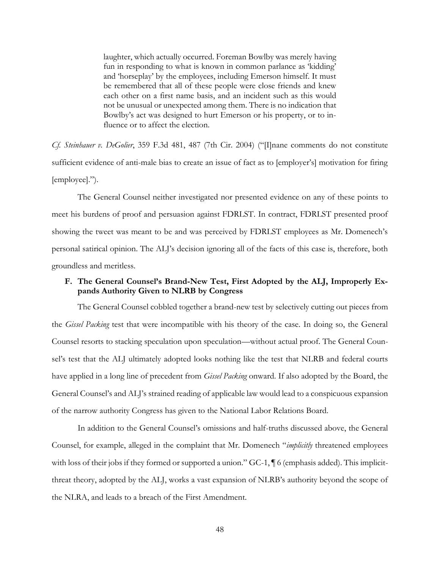laughter, which actually occurred. Foreman Bowlby was merely having fun in responding to what is known in common parlance as 'kidding' and 'horseplay' by the employees, including Emerson himself. It must be remembered that all of these people were close friends and knew each other on a first name basis, and an incident such as this would not be unusual or unexpected among them. There is no indication that Bowlby's act was designed to hurt Emerson or his property, or to influence or to affect the election.

*Cf. Steinhauer v. DeGolier*, 359 F.3d 481, 487 (7th Cir. 2004) ("[I]nane comments do not constitute sufficient evidence of anti-male bias to create an issue of fact as to [employer's] motivation for firing [employee].").

The General Counsel neither investigated nor presented evidence on any of these points to meet his burdens of proof and persuasion against FDRLST. In contract, FDRLST presented proof showing the tweet was meant to be and was perceived by FDRLST employees as Mr. Domenech's personal satirical opinion. The ALJ's decision ignoring all of the facts of this case is, therefore, both groundless and meritless.

# **F. The General Counsel's Brand-New Test, First Adopted by the ALJ, Improperly Expands Authority Given to NLRB by Congress**

The General Counsel cobbled together a brand-new test by selectively cutting out pieces from the *Gissel Packing* test that were incompatible with his theory of the case. In doing so, the General Counsel resorts to stacking speculation upon speculation—without actual proof. The General Counsel's test that the ALJ ultimately adopted looks nothing like the test that NLRB and federal courts have applied in a long line of precedent from *Gissel Packing* onward. If also adopted by the Board, the General Counsel's and ALJ's strained reading of applicable law would lead to a conspicuous expansion of the narrow authority Congress has given to the National Labor Relations Board.

In addition to the General Counsel's omissions and half-truths discussed above, the General Counsel, for example, alleged in the complaint that Mr. Domenech "*implicitly* threatened employees with loss of their jobs if they formed or supported a union." GC-1,  $\P$  6 (emphasis added). This implicitthreat theory, adopted by the ALJ, works a vast expansion of NLRB's authority beyond the scope of the NLRA, and leads to a breach of the First Amendment.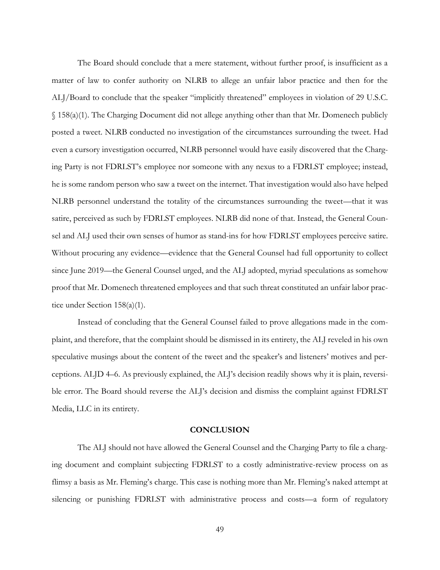The Board should conclude that a mere statement, without further proof, is insufficient as a matter of law to confer authority on NLRB to allege an unfair labor practice and then for the ALJ/Board to conclude that the speaker "implicitly threatened" employees in violation of 29 U.S.C. § 158(a)(1). The Charging Document did not allege anything other than that Mr. Domenech publicly posted a tweet. NLRB conducted no investigation of the circumstances surrounding the tweet. Had even a cursory investigation occurred, NLRB personnel would have easily discovered that the Charging Party is not FDRLST's employee nor someone with any nexus to a FDRLST employee; instead, he is some random person who saw a tweet on the internet. That investigation would also have helped NLRB personnel understand the totality of the circumstances surrounding the tweet—that it was satire, perceived as such by FDRLST employees. NLRB did none of that. Instead, the General Counsel and ALJ used their own senses of humor as stand-ins for how FDRLST employees perceive satire. Without procuring any evidence—evidence that the General Counsel had full opportunity to collect since June 2019—the General Counsel urged, and the ALJ adopted, myriad speculations as somehow proof that Mr. Domenech threatened employees and that such threat constituted an unfair labor practice under Section 158(a)(1).

Instead of concluding that the General Counsel failed to prove allegations made in the complaint, and therefore, that the complaint should be dismissed in its entirety, the ALJ reveled in his own speculative musings about the content of the tweet and the speaker's and listeners' motives and perceptions. ALJD 4–6. As previously explained, the ALJ's decision readily shows why it is plain, reversible error. The Board should reverse the ALJ's decision and dismiss the complaint against FDRLST Media, LLC in its entirety.

#### **CONCLUSION**

The ALJ should not have allowed the General Counsel and the Charging Party to file a charging document and complaint subjecting FDRLST to a costly administrative-review process on as flimsy a basis as Mr. Fleming's charge. This case is nothing more than Mr. Fleming's naked attempt at silencing or punishing FDRLST with administrative process and costs—a form of regulatory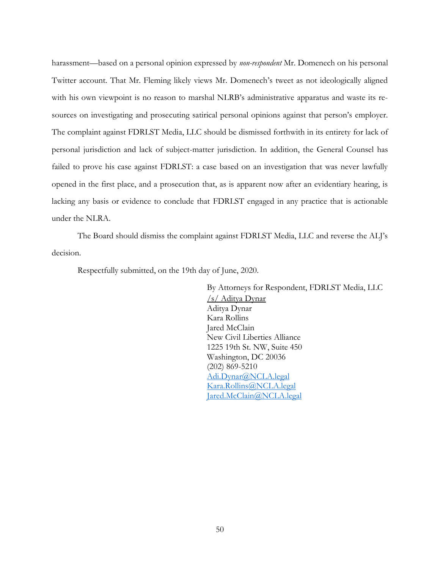harassment—based on a personal opinion expressed by *non-respondent* Mr. Domenech on his personal Twitter account. That Mr. Fleming likely views Mr. Domenech's tweet as not ideologically aligned with his own viewpoint is no reason to marshal NLRB's administrative apparatus and waste its resources on investigating and prosecuting satirical personal opinions against that person's employer. The complaint against FDRLST Media, LLC should be dismissed forthwith in its entirety for lack of personal jurisdiction and lack of subject-matter jurisdiction. In addition, the General Counsel has failed to prove his case against FDRLST: a case based on an investigation that was never lawfully opened in the first place, and a prosecution that, as is apparent now after an evidentiary hearing, is lacking any basis or evidence to conclude that FDRLST engaged in any practice that is actionable under the NLRA.

The Board should dismiss the complaint against FDRLST Media, LLC and reverse the ALJ's decision.

Respectfully submitted, on the 19th day of June, 2020.

By Attorneys for Respondent, FDRLST Media, LLC /s/ Aditya Dynar Aditya Dynar Kara Rollins Jared McClain New Civil Liberties Alliance 1225 19th St. NW, Suite 450 Washington, DC 20036 (202) 869-5210 Adi.Dynar@NCLA.legal Kara.Rollins@NCLA.legal Jared.McClain@NCLA.legal